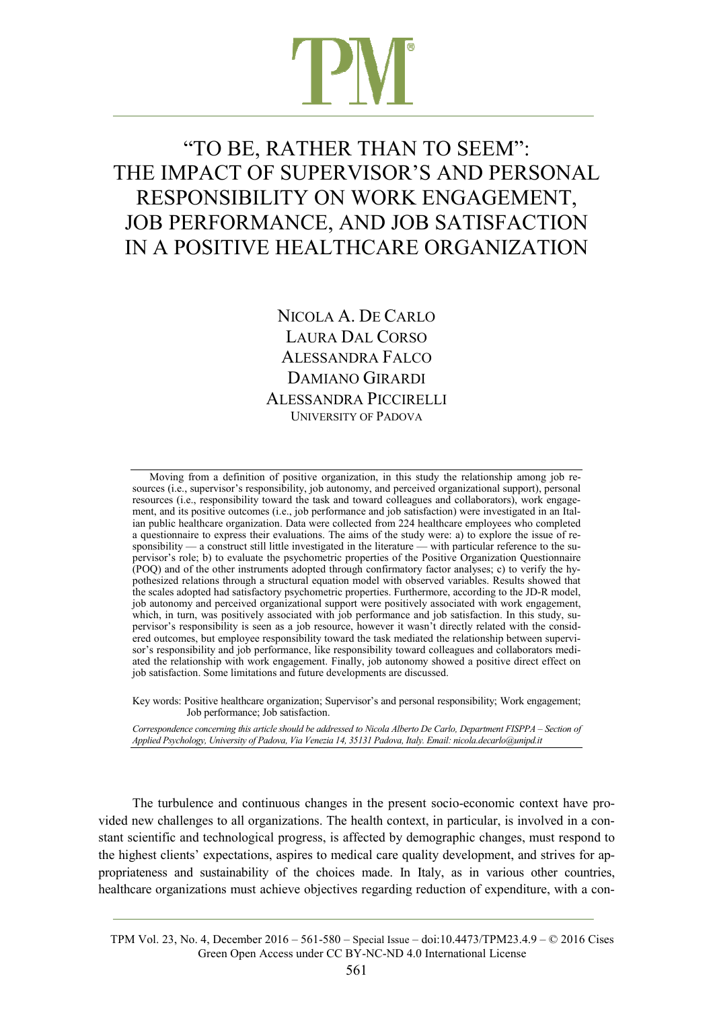# "TO BE, RATHER THAN TO SEEM": THE IMPACT OF SUPERVISOR'S AND PERSONAL RESPONSIBILITY ON WORK ENGAGEMENT, JOB PERFORMANCE, AND JOB SATISFACTION IN A POSITIVE HEALTHCARE ORGANIZATION

NICOLA A. DE CARLO LAURA DAL CORSO ALESSANDRA FALCO DAMIANO GIRARDI ALESSANDRA PICCIRELLI UNIVERSITY OF PADOVA

Moving from a definition of positive organization, in this study the relationship among job resources (i.e., supervisor's responsibility, job autonomy, and perceived organizational support), personal resources (i.e., responsibility toward the task and toward colleagues and collaborators), work engagement, and its positive outcomes (i.e., job performance and job satisfaction) were investigated in an Italian public healthcare organization. Data were collected from 224 healthcare employees who completed a questionnaire to express their evaluations. The aims of the study were: a) to explore the issue of responsibility — a construct still little investigated in the literature — with particular reference to the supervisor's role; b) to evaluate the psychometric properties of the Positive Organization Questionnaire (POQ) and of the other instruments adopted through confirmatory factor analyses; c) to verify the hypothesized relations through a structural equation model with observed variables. Results showed that the scales adopted had satisfactory psychometric properties. Furthermore, according to the JD-R model, job autonomy and perceived organizational support were positively associated with work engagement, which, in turn, was positively associated with job performance and job satisfaction. In this study, supervisor's responsibility is seen as a job resource, however it wasn't directly related with the considered outcomes, but employee responsibility toward the task mediated the relationship between supervisor's responsibility and job performance, like responsibility toward colleagues and collaborators mediated the relationship with work engagement. Finally, job autonomy showed a positive direct effect on job satisfaction. Some limitations and future developments are discussed.

Key words: Positive healthcare organization; Supervisor's and personal responsibility; Work engagement; Job performance; Job satisfaction.

*Correspondence concerning this article should be addressed to Nicola Alberto De Carlo, Department FISPPA ‒ Section of Applied Psychology, University of Padova, Via Venezia 14, 35131 Padova, Italy. Email: nicola.decarlo@unipd.it* 

The turbulence and continuous changes in the present socio-economic context have provided new challenges to all organizations. The health context, in particular, is involved in a constant scientific and technological progress, is affected by demographic changes, must respond to the highest clients' expectations, aspires to medical care quality development, and strives for appropriateness and sustainability of the choices made. In Italy, as in various other countries, healthcare organizations must achieve objectives regarding reduction of expenditure, with a con-

TPM Vol. 23, No. 4, December 2016 – 561-580 – Special Issue – doi:10.4473/TPM23.4.9 – © 2016 Cises Green Open Access under CC BY-NC-ND 4.0 International License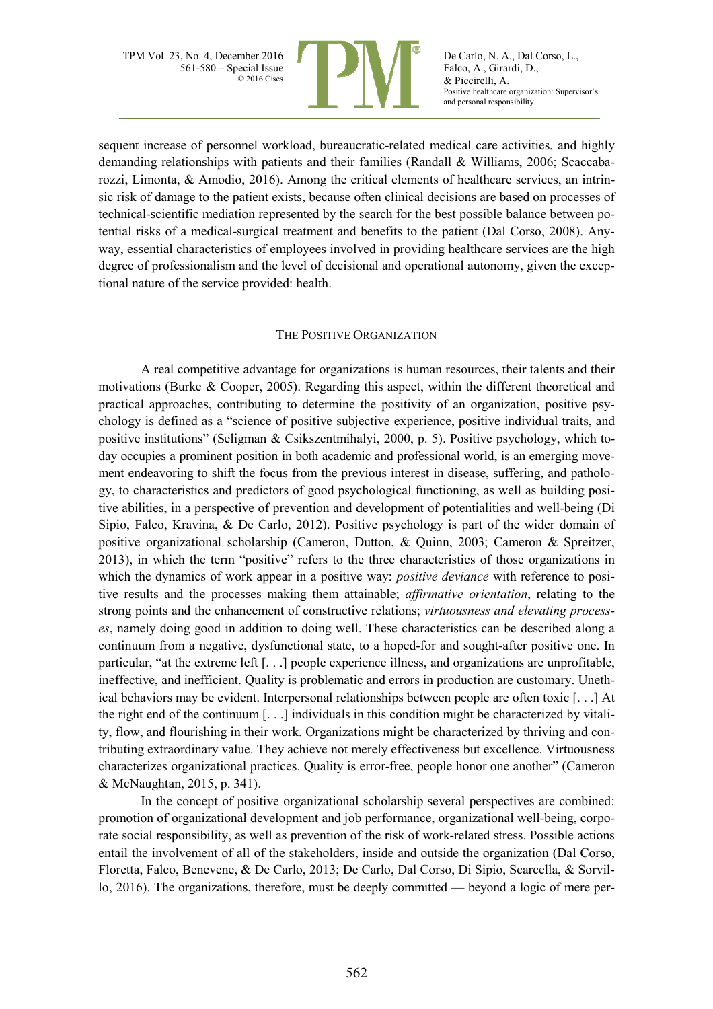

De Carlo, N. A., Dal Corso, L., Falco, A., Girardi, D., & Piccirelli, A. Positive healthcare organization: Supervisor's and personal responsibility

sequent increase of personnel workload, bureaucratic-related medical care activities, and highly demanding relationships with patients and their families (Randall & Williams, 2006; Scaccabarozzi, Limonta, & Amodio, 2016). Among the critical elements of healthcare services, an intrinsic risk of damage to the patient exists, because often clinical decisions are based on processes of technical-scientific mediation represented by the search for the best possible balance between potential risks of a medical-surgical treatment and benefits to the patient (Dal Corso, 2008). Anyway, essential characteristics of employees involved in providing healthcare services are the high degree of professionalism and the level of decisional and operational autonomy, given the exceptional nature of the service provided: health.

### THE POSITIVE ORGANIZATION

A real competitive advantage for organizations is human resources, their talents and their motivations (Burke & Cooper, 2005). Regarding this aspect, within the different theoretical and practical approaches, contributing to determine the positivity of an organization, positive psychology is defined as a "science of positive subjective experience, positive individual traits, and positive institutions" (Seligman & Csikszentmihalyi, 2000, p. 5). Positive psychology, which today occupies a prominent position in both academic and professional world, is an emerging movement endeavoring to shift the focus from the previous interest in disease, suffering, and pathology, to characteristics and predictors of good psychological functioning, as well as building positive abilities, in a perspective of prevention and development of potentialities and well-being (Di Sipio, Falco, Kravina, & De Carlo, 2012). Positive psychology is part of the wider domain of positive organizational scholarship (Cameron, Dutton, & Quinn, 2003; Cameron & Spreitzer, 2013), in which the term "positive" refers to the three characteristics of those organizations in which the dynamics of work appear in a positive way: *positive deviance* with reference to positive results and the processes making them attainable; *affirmative orientation*, relating to the strong points and the enhancement of constructive relations; *virtuousness and elevating processes*, namely doing good in addition to doing well. These characteristics can be described along a continuum from a negative, dysfunctional state, to a hoped-for and sought-after positive one. In particular, "at the extreme left [. . .] people experience illness, and organizations are unprofitable, ineffective, and inefficient. Quality is problematic and errors in production are customary. Unethical behaviors may be evident. Interpersonal relationships between people are often toxic [. . .] At the right end of the continuum [. . .] individuals in this condition might be characterized by vitality, flow, and flourishing in their work. Organizations might be characterized by thriving and contributing extraordinary value. They achieve not merely effectiveness but excellence. Virtuousness characterizes organizational practices. Quality is error-free, people honor one another" (Cameron & McNaughtan, 2015, p. 341).

In the concept of positive organizational scholarship several perspectives are combined: promotion of organizational development and job performance, organizational well-being, corporate social responsibility, as well as prevention of the risk of work-related stress. Possible actions entail the involvement of all of the stakeholders, inside and outside the organization (Dal Corso, Floretta, Falco, Benevene, & De Carlo, 2013; De Carlo, Dal Corso, Di Sipio, Scarcella, & Sorvillo, 2016). The organizations, therefore, must be deeply committed — beyond a logic of mere per-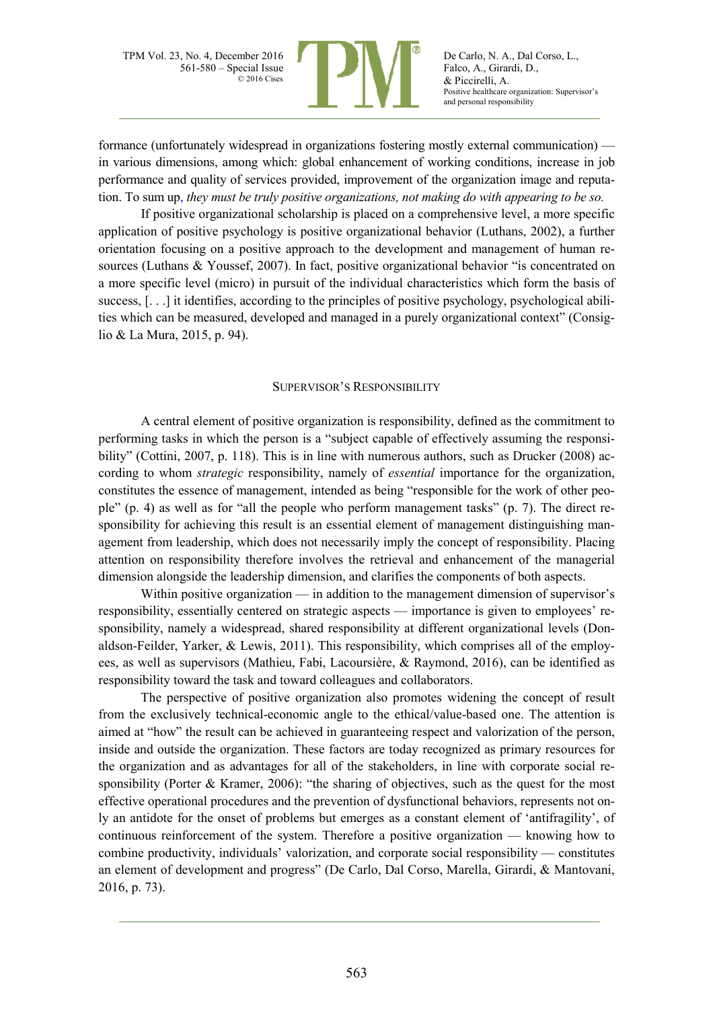

De Carlo, N. A., Dal Corso, L., Falco, A., Girardi, D., & Piccirelli, A. Positive healthcare organization: Supervisor's and personal responsibility

formance (unfortunately widespread in organizations fostering mostly external communication) in various dimensions, among which: global enhancement of working conditions, increase in job performance and quality of services provided, improvement of the organization image and reputation. To sum up, *they must be truly positive organizations, not making do with appearing to be so.*

If positive organizational scholarship is placed on a comprehensive level, a more specific application of positive psychology is positive organizational behavior (Luthans, 2002), a further orientation focusing on a positive approach to the development and management of human resources (Luthans & Youssef, 2007). In fact, positive organizational behavior "is concentrated on a more specific level (micro) in pursuit of the individual characteristics which form the basis of success, [...] it identifies, according to the principles of positive psychology, psychological abilities which can be measured, developed and managed in a purely organizational context" (Consiglio & La Mura, 2015, p. 94).

#### SUPERVISOR'S RESPONSIBILITY

A central element of positive organization is responsibility, defined as the commitment to performing tasks in which the person is a "subject capable of effectively assuming the responsibility" (Cottini, 2007, p. 118). This is in line with numerous authors, such as Drucker (2008) according to whom *strategic* responsibility, namely of *essential* importance for the organization, constitutes the essence of management, intended as being "responsible for the work of other people" (p. 4) as well as for "all the people who perform management tasks" (p. 7). The direct responsibility for achieving this result is an essential element of management distinguishing management from leadership, which does not necessarily imply the concept of responsibility. Placing attention on responsibility therefore involves the retrieval and enhancement of the managerial dimension alongside the leadership dimension, and clarifies the components of both aspects.

Within positive organization — in addition to the management dimension of supervisor's responsibility, essentially centered on strategic aspects — importance is given to employees' responsibility, namely a widespread, shared responsibility at different organizational levels (Donaldson-Feilder, Yarker, & Lewis, 2011). This responsibility, which comprises all of the employees, as well as supervisors (Mathieu, Fabi, Lacoursière, & Raymond, 2016), can be identified as responsibility toward the task and toward colleagues and collaborators.

The perspective of positive organization also promotes widening the concept of result from the exclusively technical-economic angle to the ethical/value-based one. The attention is aimed at "how" the result can be achieved in guaranteeing respect and valorization of the person, inside and outside the organization. These factors are today recognized as primary resources for the organization and as advantages for all of the stakeholders, in line with corporate social responsibility (Porter & Kramer, 2006): "the sharing of objectives, such as the quest for the most effective operational procedures and the prevention of dysfunctional behaviors, represents not only an antidote for the onset of problems but emerges as a constant element of 'antifragility', of continuous reinforcement of the system. Therefore a positive organization — knowing how to combine productivity, individuals' valorization, and corporate social responsibility — constitutes an element of development and progress" (De Carlo, Dal Corso, Marella, Girardi, & Mantovani, 2016, p. 73).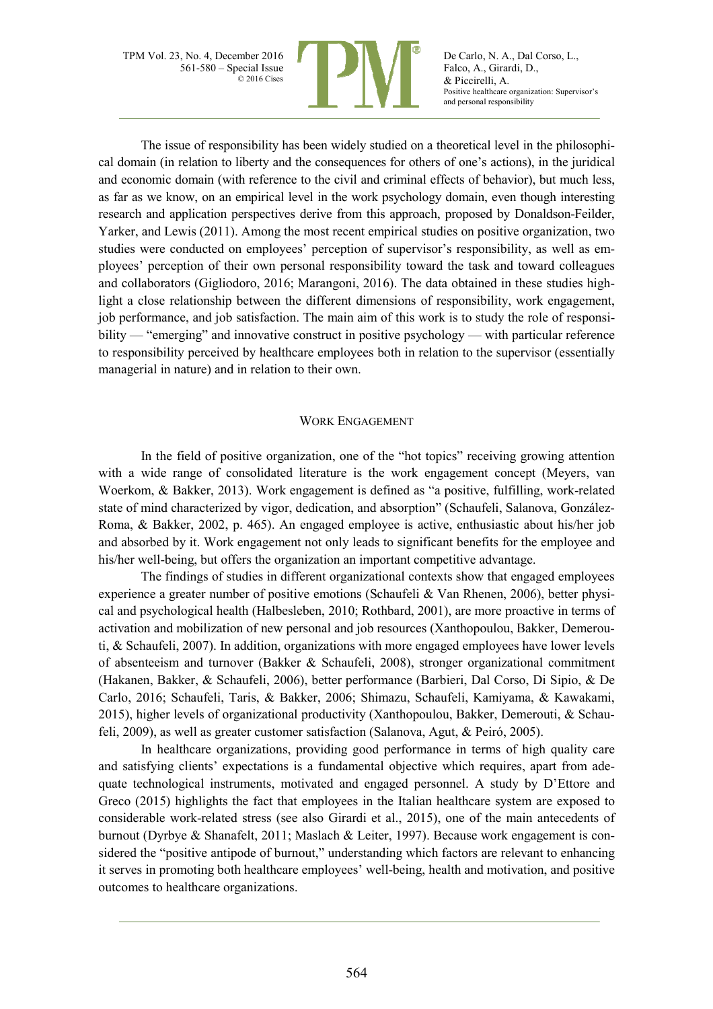

De Carlo, N. A., Dal Corso, L., Falco, A., Girardi, D., & Piccirelli, A. Positive healthcare organization: Supervisor's and personal responsibility

The issue of responsibility has been widely studied on a theoretical level in the philosophical domain (in relation to liberty and the consequences for others of one's actions), in the juridical and economic domain (with reference to the civil and criminal effects of behavior), but much less, as far as we know, on an empirical level in the work psychology domain, even though interesting research and application perspectives derive from this approach, proposed by Donaldson-Feilder, Yarker, and Lewis (2011). Among the most recent empirical studies on positive organization, two studies were conducted on employees' perception of supervisor's responsibility, as well as employees' perception of their own personal responsibility toward the task and toward colleagues and collaborators (Gigliodoro, 2016; Marangoni, 2016). The data obtained in these studies highlight a close relationship between the different dimensions of responsibility, work engagement, job performance, and job satisfaction. The main aim of this work is to study the role of responsibility — "emerging" and innovative construct in positive psychology — with particular reference to responsibility perceived by healthcare employees both in relation to the supervisor (essentially managerial in nature) and in relation to their own.

### WORK ENGAGEMENT

In the field of positive organization, one of the "hot topics" receiving growing attention with a wide range of consolidated literature is the work engagement concept (Meyers, van Woerkom, & Bakker, 2013). Work engagement is defined as "a positive, fulfilling, work-related state of mind characterized by vigor, dedication, and absorption" (Schaufeli, Salanova, González-Roma, & Bakker, 2002, p. 465). An engaged employee is active, enthusiastic about his/her job and absorbed by it. Work engagement not only leads to significant benefits for the employee and his/her well-being, but offers the organization an important competitive advantage.

The findings of studies in different organizational contexts show that engaged employees experience a greater number of positive emotions (Schaufeli & Van Rhenen, 2006), better physical and psychological health (Halbesleben, 2010; Rothbard, 2001), are more proactive in terms of activation and mobilization of new personal and job resources (Xanthopoulou, Bakker, Demerouti, & Schaufeli, 2007). In addition, organizations with more engaged employees have lower levels of absenteeism and turnover (Bakker & Schaufeli, 2008), stronger organizational commitment (Hakanen, Bakker, & Schaufeli, 2006), better performance (Barbieri, Dal Corso, Di Sipio, & De Carlo, 2016; Schaufeli, Taris, & Bakker, 2006; Shimazu, Schaufeli, Kamiyama, & Kawakami, 2015), higher levels of organizational productivity (Xanthopoulou, Bakker, Demerouti, & Schaufeli, 2009), as well as greater customer satisfaction (Salanova, Agut, & Peiró, 2005).

In healthcare organizations, providing good performance in terms of high quality care and satisfying clients' expectations is a fundamental objective which requires, apart from adequate technological instruments, motivated and engaged personnel. A study by D'Ettore and Greco (2015) highlights the fact that employees in the Italian healthcare system are exposed to considerable work-related stress (see also Girardi et al., 2015), one of the main antecedents of burnout (Dyrbye & Shanafelt, 2011; Maslach & Leiter, 1997). Because work engagement is considered the "positive antipode of burnout," understanding which factors are relevant to enhancing it serves in promoting both healthcare employees' well-being, health and motivation, and positive outcomes to healthcare organizations.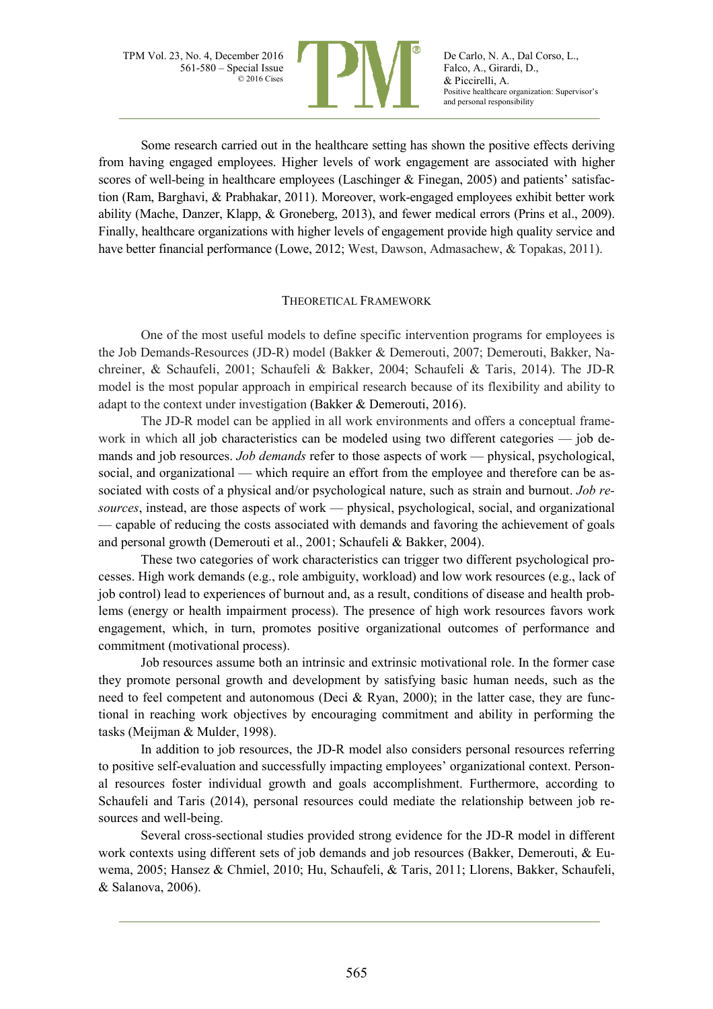

De Carlo, N. A., Dal Corso, L., Falco, A., Girardi, D., & Piccirelli, A. Positive healthcare organization: Supervisor's and personal responsibility

Some research carried out in the healthcare setting has shown the positive effects deriving from having engaged employees. Higher levels of work engagement are associated with higher scores of well-being in healthcare employees (Laschinger  $\&$  Finegan, 2005) and patients' satisfaction (Ram, Barghavi, & Prabhakar, 2011). Moreover, work-engaged employees exhibit better work ability (Mache, Danzer, Klapp, & Groneberg, 2013), and fewer medical errors (Prins et al., 2009). Finally, healthcare organizations with higher levels of engagement provide high quality service and have better financial performance (Lowe, 2012; West, Dawson, Admasachew, & Topakas, 2011).

### THEORETICAL FRAMEWORK

One of the most useful models to define specific intervention programs for employees is the Job Demands-Resources (JD-R) model (Bakker & Demerouti, 2007; Demerouti, Bakker, Nachreiner, & Schaufeli, 2001; Schaufeli & Bakker, 2004; Schaufeli & Taris, 2014). The JD-R model is the most popular approach in empirical research because of its flexibility and ability to adapt to the context under investigation (Bakker & Demerouti, 2016).

The JD-R model can be applied in all work environments and offers a conceptual framework in which all job characteristics can be modeled using two different categories — job demands and job resources. *Job demands* refer to those aspects of work — physical, psychological, social, and organizational — which require an effort from the employee and therefore can be associated with costs of a physical and/or psychological nature, such as strain and burnout. *Job resources*, instead, are those aspects of work — physical, psychological, social, and organizational — capable of reducing the costs associated with demands and favoring the achievement of goals and personal growth (Demerouti et al., 2001; Schaufeli & Bakker, 2004).

These two categories of work characteristics can trigger two different psychological processes. High work demands (e.g., role ambiguity, workload) and low work resources (e.g., lack of job control) lead to experiences of burnout and, as a result, conditions of disease and health problems (energy or health impairment process). The presence of high work resources favors work engagement, which, in turn, promotes positive organizational outcomes of performance and commitment (motivational process).

Job resources assume both an intrinsic and extrinsic motivational role. In the former case they promote personal growth and development by satisfying basic human needs, such as the need to feel competent and autonomous (Deci & Ryan, 2000); in the latter case, they are functional in reaching work objectives by encouraging commitment and ability in performing the tasks (Meijman & Mulder, 1998).

In addition to job resources, the JD-R model also considers personal resources referring to positive self-evaluation and successfully impacting employees' organizational context. Personal resources foster individual growth and goals accomplishment. Furthermore, according to Schaufeli and Taris (2014), personal resources could mediate the relationship between job resources and well-being.

Several cross-sectional studies provided strong evidence for the JD-R model in different work contexts using different sets of job demands and job resources (Bakker, Demerouti, & Euwema, 2005; Hansez & Chmiel, 2010; Hu, Schaufeli, & Taris, 2011; Llorens, Bakker, Schaufeli, & Salanova, 2006).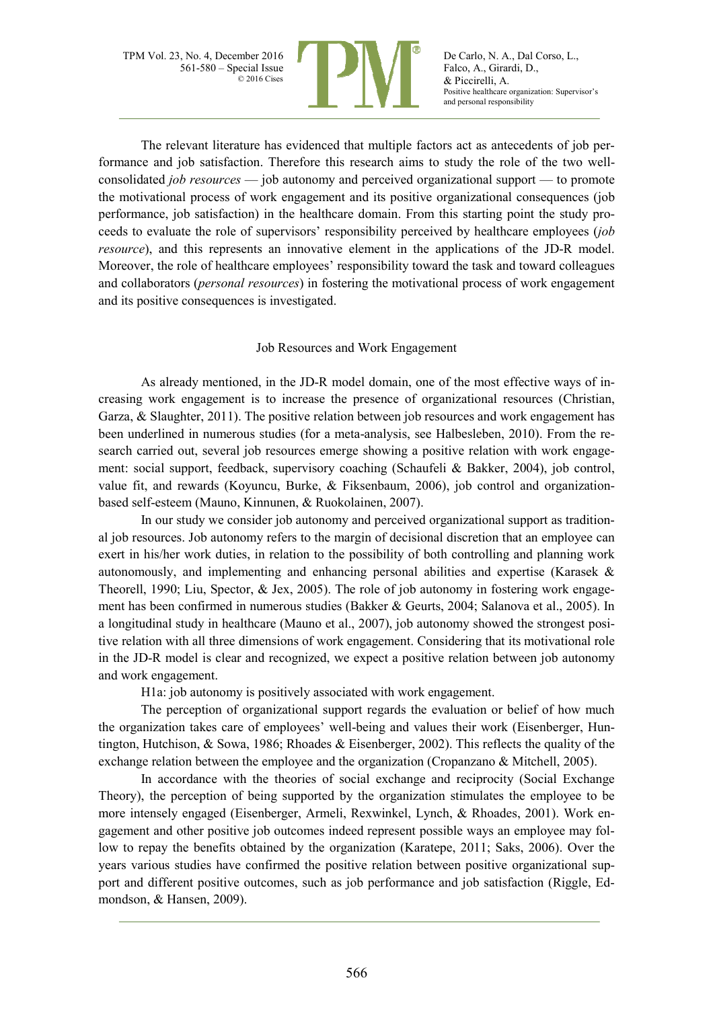

De Carlo, N. A., Dal Corso, L., Falco, A., Girardi, D., & Piccirelli, A. Positive healthcare organization: Supervisor's and personal responsibility

The relevant literature has evidenced that multiple factors act as antecedents of job performance and job satisfaction. Therefore this research aims to study the role of the two wellconsolidated *job resources* — job autonomy and perceived organizational support — to promote the motivational process of work engagement and its positive organizational consequences (job performance, job satisfaction) in the healthcare domain. From this starting point the study proceeds to evaluate the role of supervisors' responsibility perceived by healthcare employees (*job resource*), and this represents an innovative element in the applications of the JD-R model. Moreover, the role of healthcare employees' responsibility toward the task and toward colleagues and collaborators (*personal resources*) in fostering the motivational process of work engagement and its positive consequences is investigated.

# Job Resources and Work Engagement

As already mentioned, in the JD-R model domain, one of the most effective ways of increasing work engagement is to increase the presence of organizational resources (Christian, Garza, & Slaughter, 2011). The positive relation between job resources and work engagement has been underlined in numerous studies (for a meta-analysis, see Halbesleben, 2010). From the research carried out, several job resources emerge showing a positive relation with work engagement: social support, feedback, supervisory coaching (Schaufeli & Bakker, 2004), job control, value fit, and rewards (Koyuncu, Burke, & Fiksenbaum, 2006), job control and organizationbased self-esteem (Mauno, Kinnunen, & Ruokolainen, 2007).

In our study we consider job autonomy and perceived organizational support as traditional job resources. Job autonomy refers to the margin of decisional discretion that an employee can exert in his/her work duties, in relation to the possibility of both controlling and planning work autonomously, and implementing and enhancing personal abilities and expertise (Karasek & Theorell, 1990; Liu, Spector, & Jex, 2005). The role of job autonomy in fostering work engagement has been confirmed in numerous studies (Bakker & Geurts, 2004; Salanova et al., 2005). In a longitudinal study in healthcare (Mauno et al., 2007), job autonomy showed the strongest positive relation with all three dimensions of work engagement. Considering that its motivational role in the JD-R model is clear and recognized, we expect a positive relation between job autonomy and work engagement.

H1a: job autonomy is positively associated with work engagement.

The perception of organizational support regards the evaluation or belief of how much the organization takes care of employees' well-being and values their work (Eisenberger, Huntington, Hutchison, & Sowa, 1986; Rhoades & Eisenberger, 2002). This reflects the quality of the exchange relation between the employee and the organization (Cropanzano & Mitchell, 2005).

In accordance with the theories of social exchange and reciprocity (Social Exchange Theory), the perception of being supported by the organization stimulates the employee to be more intensely engaged (Eisenberger, Armeli, Rexwinkel, Lynch, & Rhoades, 2001). Work engagement and other positive job outcomes indeed represent possible ways an employee may follow to repay the benefits obtained by the organization (Karatepe, 2011; Saks, 2006). Over the years various studies have confirmed the positive relation between positive organizational support and different positive outcomes, such as job performance and job satisfaction (Riggle, Edmondson, & Hansen, 2009).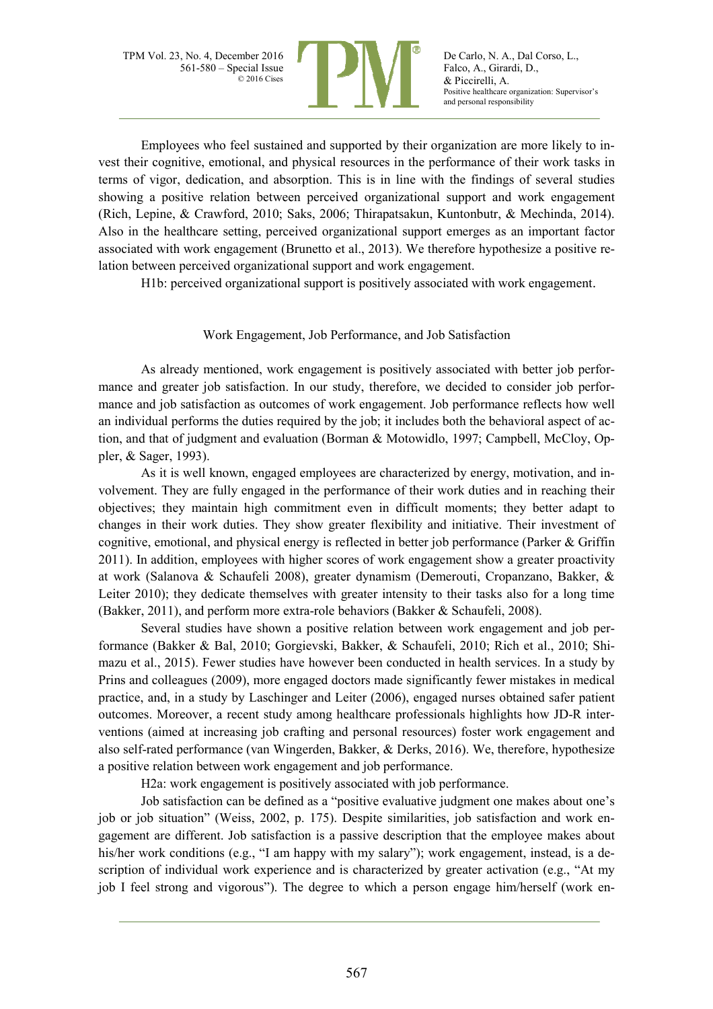

De Carlo, N. A., Dal Corso, L., Falco, A., Girardi, D., & Piccirelli, A. Positive healthcare organization: Supervisor's and personal responsibility

Employees who feel sustained and supported by their organization are more likely to invest their cognitive, emotional, and physical resources in the performance of their work tasks in terms of vigor, dedication, and absorption. This is in line with the findings of several studies showing a positive relation between perceived organizational support and work engagement (Rich, Lepine, & Crawford, 2010; Saks, 2006; Thirapatsakun, Kuntonbutr, & Mechinda, 2014). Also in the healthcare setting, perceived organizational support emerges as an important factor associated with work engagement (Brunetto et al., 2013). We therefore hypothesize a positive relation between perceived organizational support and work engagement.

H1b: perceived organizational support is positively associated with work engagement.

# Work Engagement, Job Performance, and Job Satisfaction

As already mentioned, work engagement is positively associated with better job performance and greater job satisfaction. In our study, therefore, we decided to consider job performance and job satisfaction as outcomes of work engagement. Job performance reflects how well an individual performs the duties required by the job; it includes both the behavioral aspect of action, and that of judgment and evaluation (Borman & Motowidlo, 1997; Campbell, McCloy, Oppler, & Sager, 1993).

As it is well known, engaged employees are characterized by energy, motivation, and involvement. They are fully engaged in the performance of their work duties and in reaching their objectives; they maintain high commitment even in difficult moments; they better adapt to changes in their work duties. They show greater flexibility and initiative. Their investment of cognitive, emotional, and physical energy is reflected in better job performance (Parker & Griffin 2011). In addition, employees with higher scores of work engagement show a greater proactivity at work (Salanova & Schaufeli 2008), greater dynamism (Demerouti, Cropanzano, Bakker, & Leiter 2010); they dedicate themselves with greater intensity to their tasks also for a long time (Bakker, 2011), and perform more extra-role behaviors (Bakker & Schaufeli, 2008).

Several studies have shown a positive relation between work engagement and job performance (Bakker & Bal, 2010; Gorgievski, Bakker, & Schaufeli, 2010; Rich et al., 2010; Shimazu et al., 2015). Fewer studies have however been conducted in health services. In a study by Prins and colleagues (2009), more engaged doctors made significantly fewer mistakes in medical practice, and, in a study by Laschinger and Leiter (2006), engaged nurses obtained safer patient outcomes. Moreover, a recent study among healthcare professionals highlights how JD-R interventions (aimed at increasing job crafting and personal resources) foster work engagement and also self-rated performance (van Wingerden, Bakker, & Derks, 2016). We, therefore, hypothesize a positive relation between work engagement and job performance.

H2a: work engagement is positively associated with job performance.

Job satisfaction can be defined as a "positive evaluative judgment one makes about one's job or job situation" (Weiss, 2002, p. 175). Despite similarities, job satisfaction and work engagement are different. Job satisfaction is a passive description that the employee makes about his/her work conditions (e.g., "I am happy with my salary"); work engagement, instead, is a description of individual work experience and is characterized by greater activation (e.g., "At my job I feel strong and vigorous"). The degree to which a person engage him/herself (work en-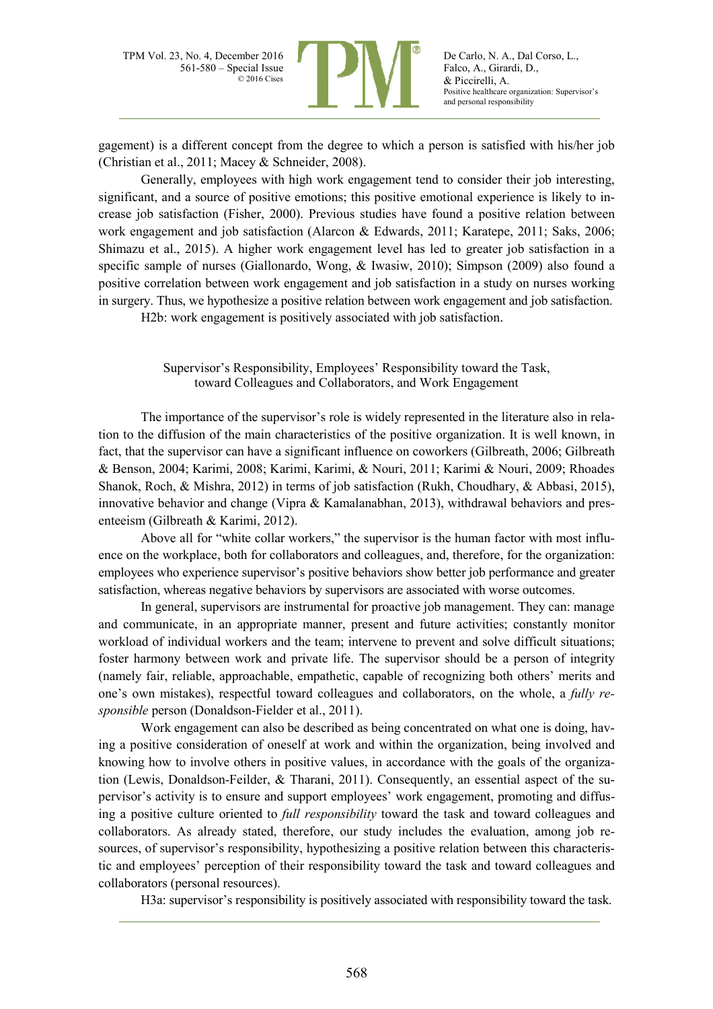

gagement) is a different concept from the degree to which a person is satisfied with his/her job (Christian et al., 2011; Macey & Schneider, 2008).

Generally, employees with high work engagement tend to consider their job interesting, significant, and a source of positive emotions; this positive emotional experience is likely to increase job satisfaction (Fisher, 2000). Previous studies have found a positive relation between work engagement and job satisfaction (Alarcon & Edwards, 2011; Karatepe, 2011; Saks, 2006; Shimazu et al., 2015). A higher work engagement level has led to greater job satisfaction in a specific sample of nurses (Giallonardo, Wong, & Iwasiw, 2010); Simpson (2009) also found a positive correlation between work engagement and job satisfaction in a study on nurses working in surgery. Thus, we hypothesize a positive relation between work engagement and job satisfaction.

H2b: work engagement is positively associated with job satisfaction.

Supervisor's Responsibility, Employees' Responsibility toward the Task, toward Colleagues and Collaborators, and Work Engagement

The importance of the supervisor's role is widely represented in the literature also in relation to the diffusion of the main characteristics of the positive organization. It is well known, in fact, that the supervisor can have a significant influence on coworkers (Gilbreath, 2006; Gilbreath & Benson, 2004; Karimi, 2008; Karimi, Karimi, & Nouri, 2011; Karimi & Nouri, 2009; Rhoades Shanok, Roch, & Mishra, 2012) in terms of job satisfaction (Rukh, Choudhary, & Abbasi, 2015), innovative behavior and change (Vipra & Kamalanabhan, 2013), withdrawal behaviors and presenteeism (Gilbreath & Karimi, 2012).

Above all for "white collar workers," the supervisor is the human factor with most influence on the workplace, both for collaborators and colleagues, and, therefore, for the organization: employees who experience supervisor's positive behaviors show better job performance and greater satisfaction, whereas negative behaviors by supervisors are associated with worse outcomes.

In general, supervisors are instrumental for proactive job management. They can: manage and communicate, in an appropriate manner, present and future activities; constantly monitor workload of individual workers and the team; intervene to prevent and solve difficult situations; foster harmony between work and private life. The supervisor should be a person of integrity (namely fair, reliable, approachable, empathetic, capable of recognizing both others' merits and one's own mistakes), respectful toward colleagues and collaborators, on the whole, a *fully responsible* person (Donaldson-Fielder et al., 2011).

Work engagement can also be described as being concentrated on what one is doing, having a positive consideration of oneself at work and within the organization, being involved and knowing how to involve others in positive values, in accordance with the goals of the organization (Lewis, Donaldson-Feilder, & Tharani, 2011). Consequently, an essential aspect of the supervisor's activity is to ensure and support employees' work engagement, promoting and diffusing a positive culture oriented to *full responsibility* toward the task and toward colleagues and collaborators. As already stated, therefore, our study includes the evaluation, among job resources, of supervisor's responsibility, hypothesizing a positive relation between this characteristic and employees' perception of their responsibility toward the task and toward colleagues and collaborators (personal resources).

H3a: supervisor's responsibility is positively associated with responsibility toward the task.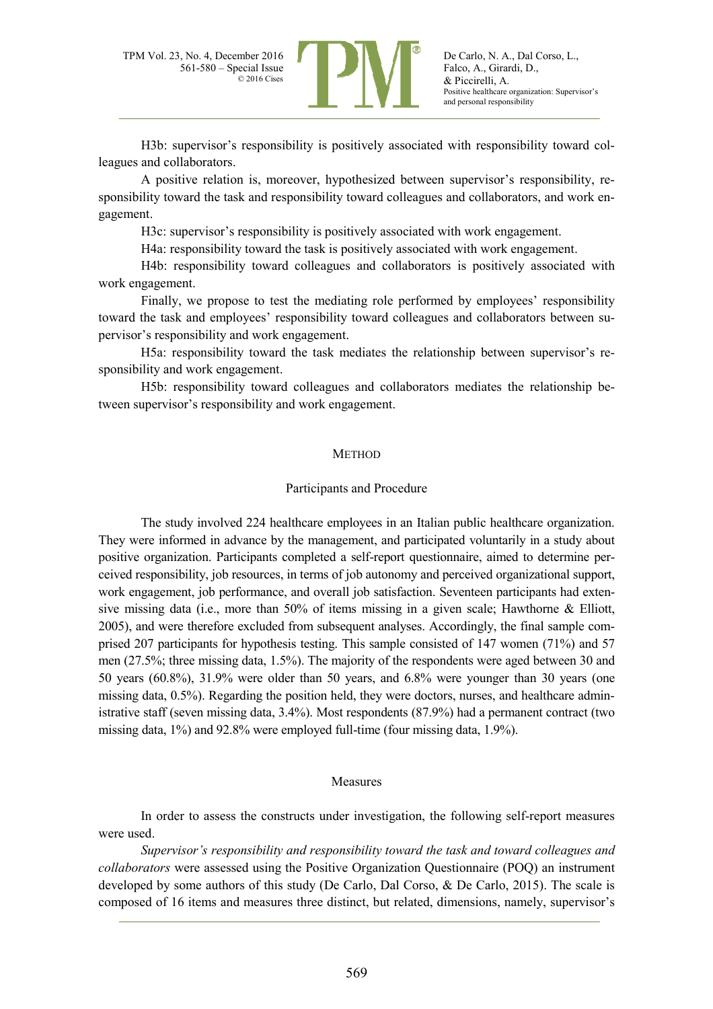

De Carlo, N. A., Dal Corso, L., Falco, A., Girardi, D., & Piccirelli, A. Positive healthcare organization: Supervisor's and personal responsibility

H3b: supervisor's responsibility is positively associated with responsibility toward colleagues and collaborators.

A positive relation is, moreover, hypothesized between supervisor's responsibility, responsibility toward the task and responsibility toward colleagues and collaborators, and work engagement.

H3c: supervisor's responsibility is positively associated with work engagement.

H4a: responsibility toward the task is positively associated with work engagement.

H4b: responsibility toward colleagues and collaborators is positively associated with work engagement.

Finally, we propose to test the mediating role performed by employees' responsibility toward the task and employees' responsibility toward colleagues and collaborators between supervisor's responsibility and work engagement.

H5a: responsibility toward the task mediates the relationship between supervisor's responsibility and work engagement.

H5b: responsibility toward colleagues and collaborators mediates the relationship between supervisor's responsibility and work engagement.

#### **METHOD**

#### Participants and Procedure

The study involved 224 healthcare employees in an Italian public healthcare organization. They were informed in advance by the management, and participated voluntarily in a study about positive organization. Participants completed a self-report questionnaire, aimed to determine perceived responsibility, job resources, in terms of job autonomy and perceived organizational support, work engagement, job performance, and overall job satisfaction. Seventeen participants had extensive missing data (i.e., more than 50% of items missing in a given scale; Hawthorne & Elliott, 2005), and were therefore excluded from subsequent analyses. Accordingly, the final sample comprised 207 participants for hypothesis testing. This sample consisted of 147 women (71%) and 57 men (27.5%; three missing data, 1.5%). The majority of the respondents were aged between 30 and 50 years (60.8%), 31.9% were older than 50 years, and 6.8% were younger than 30 years (one missing data, 0.5%). Regarding the position held, they were doctors, nurses, and healthcare administrative staff (seven missing data, 3.4%). Most respondents (87.9%) had a permanent contract (two missing data, 1%) and 92.8% were employed full-time (four missing data, 1.9%).

#### Measures

In order to assess the constructs under investigation, the following self-report measures were used.

*Supervisor's responsibility and responsibility toward the task and toward colleagues and collaborators* were assessed using the Positive Organization Questionnaire (POQ) an instrument developed by some authors of this study (De Carlo, Dal Corso, & De Carlo, 2015). The scale is composed of 16 items and measures three distinct, but related, dimensions, namely, supervisor's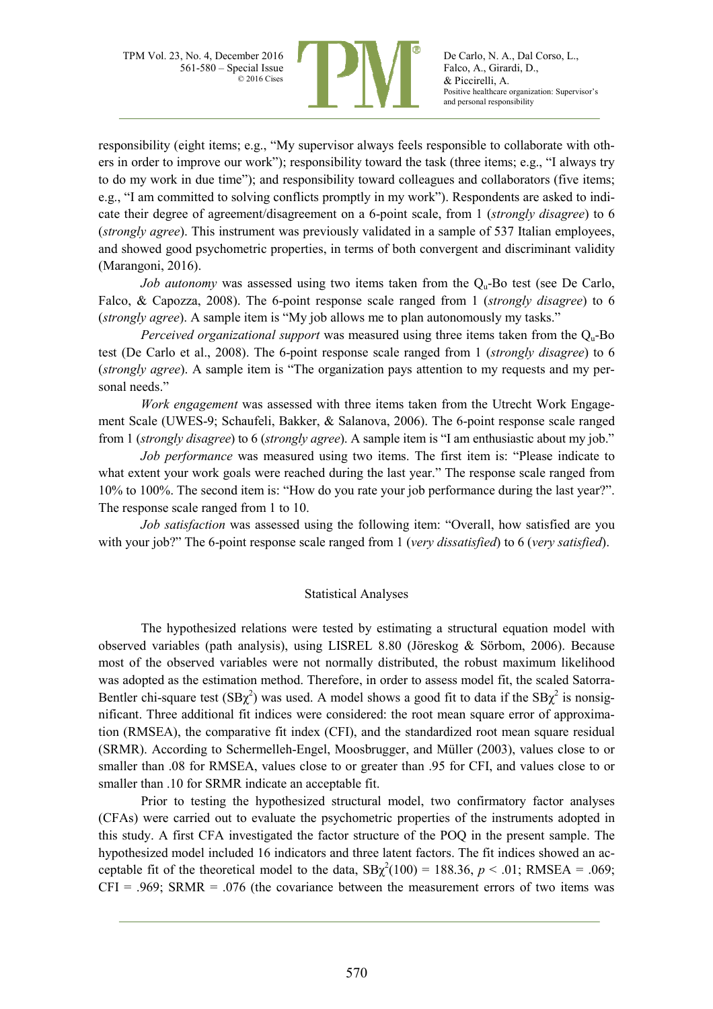

responsibility (eight items; e.g., "My supervisor always feels responsible to collaborate with others in order to improve our work"); responsibility toward the task (three items; e.g., "I always try to do my work in due time"); and responsibility toward colleagues and collaborators (five items; e.g., "I am committed to solving conflicts promptly in my work"). Respondents are asked to indicate their degree of agreement/disagreement on a 6-point scale, from 1 (*strongly disagree*) to 6 (*strongly agree*). This instrument was previously validated in a sample of 537 Italian employees, and showed good psychometric properties, in terms of both convergent and discriminant validity (Marangoni, 2016).

*Job autonomy* was assessed using two items taken from the O<sub>u</sub>-Bo test (see De Carlo, Falco, & Capozza, 2008). The 6-point response scale ranged from 1 (*strongly disagree*) to 6 (*strongly agree*). A sample item is "My job allows me to plan autonomously my tasks."

*Perceived organizational support* was measured using three items taken from the Q<sub>u</sub>-Bo test (De Carlo et al., 2008). The 6-point response scale ranged from 1 (*strongly disagree*) to 6 (*strongly agree*). A sample item is "The organization pays attention to my requests and my personal needs."

*Work engagement* was assessed with three items taken from the Utrecht Work Engagement Scale (UWES-9; Schaufeli, Bakker, & Salanova, 2006). The 6-point response scale ranged from 1 (*strongly disagree*) to 6 (*strongly agree*). A sample item is "I am enthusiastic about my job."

*Job performance* was measured using two items. The first item is: "Please indicate to what extent your work goals were reached during the last year." The response scale ranged from 10% to 100%. The second item is: "How do you rate your job performance during the last year?". The response scale ranged from 1 to 10.

*Job satisfaction* was assessed using the following item: "Overall, how satisfied are you with your job?" The 6-point response scale ranged from 1 (*very dissatisfied*) to 6 (*very satisfied*).

### Statistical Analyses

The hypothesized relations were tested by estimating a structural equation model with observed variables (path analysis), using LISREL 8.80 (Jöreskog & Sörbom, 2006). Because most of the observed variables were not normally distributed, the robust maximum likelihood was adopted as the estimation method. Therefore, in order to assess model fit, the scaled Satorra-Bentler chi-square test  $(BB\chi^2)$  was used. A model shows a good fit to data if the  $SB\chi^2$  is nonsignificant. Three additional fit indices were considered: the root mean square error of approximation (RMSEA), the comparative fit index (CFI), and the standardized root mean square residual (SRMR). According to Schermelleh-Engel, Moosbrugger, and Müller (2003), values close to or smaller than .08 for RMSEA, values close to or greater than .95 for CFI, and values close to or smaller than .10 for SRMR indicate an acceptable fit.

Prior to testing the hypothesized structural model, two confirmatory factor analyses (CFAs) were carried out to evaluate the psychometric properties of the instruments adopted in this study. A first CFA investigated the factor structure of the POQ in the present sample. The hypothesized model included 16 indicators and three latent factors. The fit indices showed an acceptable fit of the theoretical model to the data,  $SB\chi^2(100) = 188.36$ ,  $p < .01$ ; RMSEA = .069;  $CFI = .969$ ; SRMR = .076 (the covariance between the measurement errors of two items was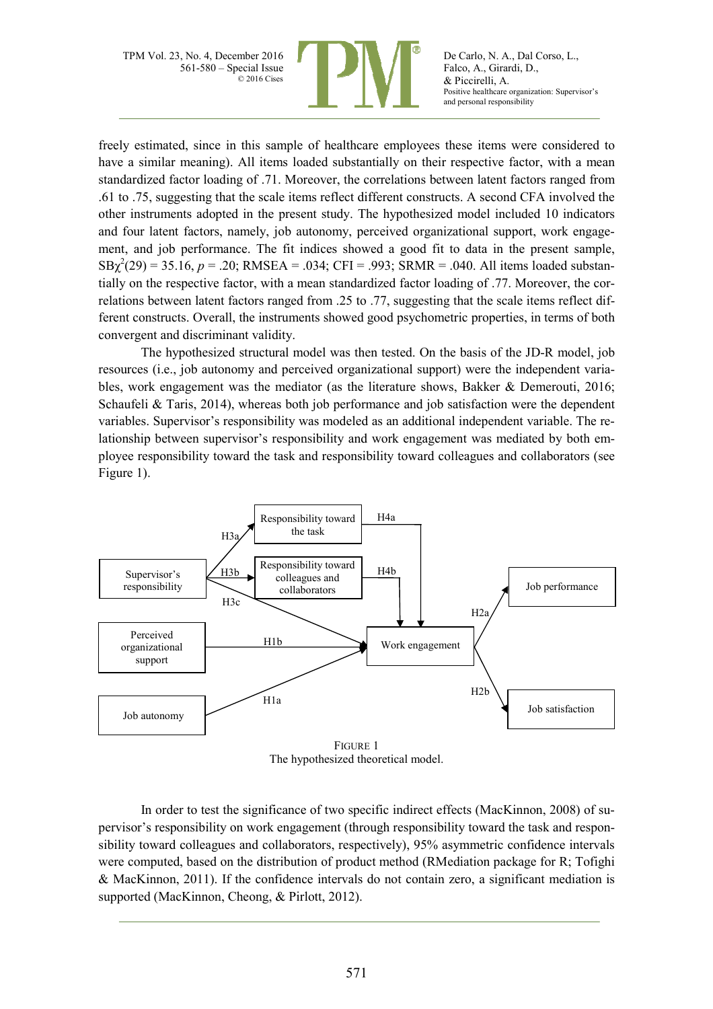

De Carlo, N. A., Dal Corso, L., Falco, A., Girardi, D., & Piccirelli, A. Positive healthcare organization: Supervisor's and personal responsibility

freely estimated, since in this sample of healthcare employees these items were considered to have a similar meaning). All items loaded substantially on their respective factor, with a mean standardized factor loading of .71. Moreover, the correlations between latent factors ranged from .61 to .75, suggesting that the scale items reflect different constructs. A second CFA involved the other instruments adopted in the present study. The hypothesized model included 10 indicators and four latent factors, namely, job autonomy, perceived organizational support, work engagement, and job performance. The fit indices showed a good fit to data in the present sample,  $SB\chi^2(29) = 35.16, p = .20$ ; RMSEA = .034; CFI = .993; SRMR = .040. All items loaded substantially on the respective factor, with a mean standardized factor loading of .77. Moreover, the correlations between latent factors ranged from .25 to .77, suggesting that the scale items reflect different constructs. Overall, the instruments showed good psychometric properties, in terms of both convergent and discriminant validity.

The hypothesized structural model was then tested. On the basis of the JD-R model, job resources (i.e., job autonomy and perceived organizational support) were the independent variables, work engagement was the mediator (as the literature shows, Bakker & Demerouti, 2016; Schaufeli & Taris, 2014), whereas both job performance and job satisfaction were the dependent variables. Supervisor's responsibility was modeled as an additional independent variable. The relationship between supervisor's responsibility and work engagement was mediated by both employee responsibility toward the task and responsibility toward colleagues and collaborators (see Figure 1).



The hypothesized theoretical model.

In order to test the significance of two specific indirect effects (MacKinnon, 2008) of supervisor's responsibility on work engagement (through responsibility toward the task and responsibility toward colleagues and collaborators, respectively), 95% asymmetric confidence intervals were computed, based on the distribution of product method (RMediation package for R; Tofighi & MacKinnon, 2011). If the confidence intervals do not contain zero, a significant mediation is supported (MacKinnon, Cheong, & Pirlott, 2012).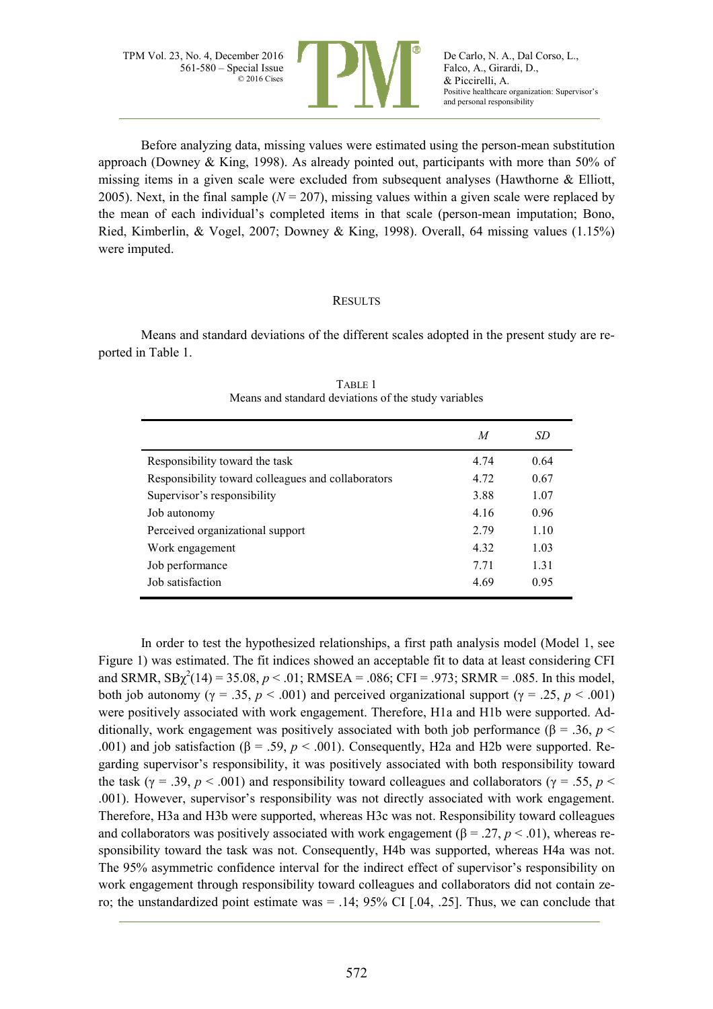

Before analyzing data, missing values were estimated using the person-mean substitution approach (Downey & King, 1998). As already pointed out, participants with more than 50% of missing items in a given scale were excluded from subsequent analyses (Hawthorne & Elliott, 2005). Next, in the final sample  $(N = 207)$ , missing values within a given scale were replaced by the mean of each individual's completed items in that scale (person-mean imputation; Bono, Ried, Kimberlin, & Vogel, 2007; Downey & King, 1998). Overall, 64 missing values (1.15%) were imputed.

#### **RESULTS**

Means and standard deviations of the different scales adopted in the present study are reported in Table 1.

| TABLE 1 |                                                      |
|---------|------------------------------------------------------|
|         | Means and standard deviations of the study variables |

|                                                    | M     | SD   |
|----------------------------------------------------|-------|------|
| Responsibility toward the task                     | 4.74  | 0.64 |
| Responsibility toward colleagues and collaborators | 4.72  | 0.67 |
| Supervisor's responsibility                        | 3.88  | 1.07 |
| Job autonomy                                       | 4.16  | 0.96 |
| Perceived organizational support                   | 2.79  | 1.10 |
| Work engagement                                    | 4 3 2 | 1.03 |
| Job performance                                    | 7.71  | 1.31 |
| Job satisfaction                                   | 4.69  | 0.95 |
|                                                    |       |      |

In order to test the hypothesized relationships, a first path analysis model (Model 1, see Figure 1) was estimated. The fit indices showed an acceptable fit to data at least considering CFI and SRMR,  $SB\chi^2(14) = 35.08$ ,  $p < .01$ ; RMSEA = .086; CFI = .973; SRMR = .085. In this model, both job autonomy ( $\gamma = .35$ ,  $p < .001$ ) and perceived organizational support ( $\gamma = .25$ ,  $p < .001$ ) were positively associated with work engagement. Therefore, H1a and H1b were supported. Additionally, work engagement was positively associated with both job performance ( $\beta = 0.36$ ,  $p <$ .001) and job satisfaction ( $\beta$  = .59,  $p < .001$ ). Consequently, H2a and H2b were supported. Regarding supervisor's responsibility, it was positively associated with both responsibility toward the task ( $\gamma$  = .39, *p* < .001) and responsibility toward colleagues and collaborators ( $\gamma$  = .55, *p* < .001). However, supervisor's responsibility was not directly associated with work engagement. Therefore, H3a and H3b were supported, whereas H3c was not. Responsibility toward colleagues and collaborators was positively associated with work engagement  $(\beta = .27, p < .01)$ , whereas responsibility toward the task was not. Consequently, H4b was supported, whereas H4a was not. The 95% asymmetric confidence interval for the indirect effect of supervisor's responsibility on work engagement through responsibility toward colleagues and collaborators did not contain zero; the unstandardized point estimate was  $= .14$ ; 95% CI [.04, .25]. Thus, we can conclude that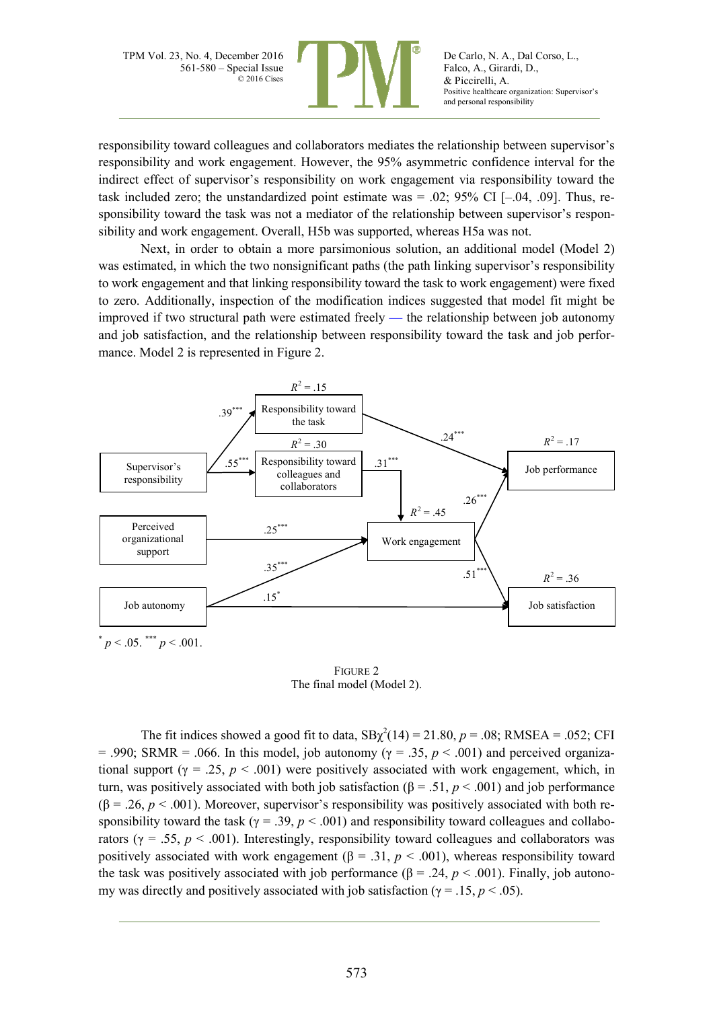

De Carlo, N. A., Dal Corso, L., Falco, A., Girardi, D., & Piccirelli, A. Positive healthcare organization: Supervisor's and personal responsibility

responsibility toward colleagues and collaborators mediates the relationship between supervisor's responsibility and work engagement. However, the 95% asymmetric confidence interval for the indirect effect of supervisor's responsibility on work engagement via responsibility toward the task included zero; the unstandardized point estimate was  $= .02$ ; 95% CI  $[-.04, .09]$ . Thus, responsibility toward the task was not a mediator of the relationship between supervisor's responsibility and work engagement. Overall, H5b was supported, whereas H5a was not.

Next, in order to obtain a more parsimonious solution, an additional model (Model 2) was estimated, in which the two nonsignificant paths (the path linking supervisor's responsibility to work engagement and that linking responsibility toward the task to work engagement) were fixed to zero. Additionally, inspection of the modification indices suggested that model fit might be improved if two structural path were estimated freely — the relationship between job autonomy and job satisfaction, and the relationship between responsibility toward the task and job performance. Model 2 is represented in Figure 2.



FIGURE 2 The final model (Model 2).

The fit indices showed a good fit to data,  $SB\chi^2(14) = 21.80$ ,  $p = .08$ ; RMSEA = .052; CFI = .990; SRMR = .066. In this model, job autonomy ( $\gamma$  = .35,  $p$  < .001) and perceived organizational support ( $\gamma = 0.25$ ,  $p < 0.001$ ) were positively associated with work engagement, which, in turn, was positively associated with both job satisfaction (β = .51,  $p$  < .001) and job performance ( $\beta$  = .26, *p* < .001). Moreover, supervisor's responsibility was positively associated with both responsibility toward the task ( $\gamma = .39$ ,  $p < .001$ ) and responsibility toward colleagues and collaborators ( $\gamma = .55$ ,  $p < .001$ ). Interestingly, responsibility toward colleagues and collaborators was positively associated with work engagement ( $\beta$  = .31,  $p$  < .001), whereas responsibility toward the task was positively associated with job performance ( $\beta$  = .24, *p* < .001). Finally, job autonomy was directly and positively associated with job satisfaction ( $\gamma = .15$ ,  $p < .05$ ).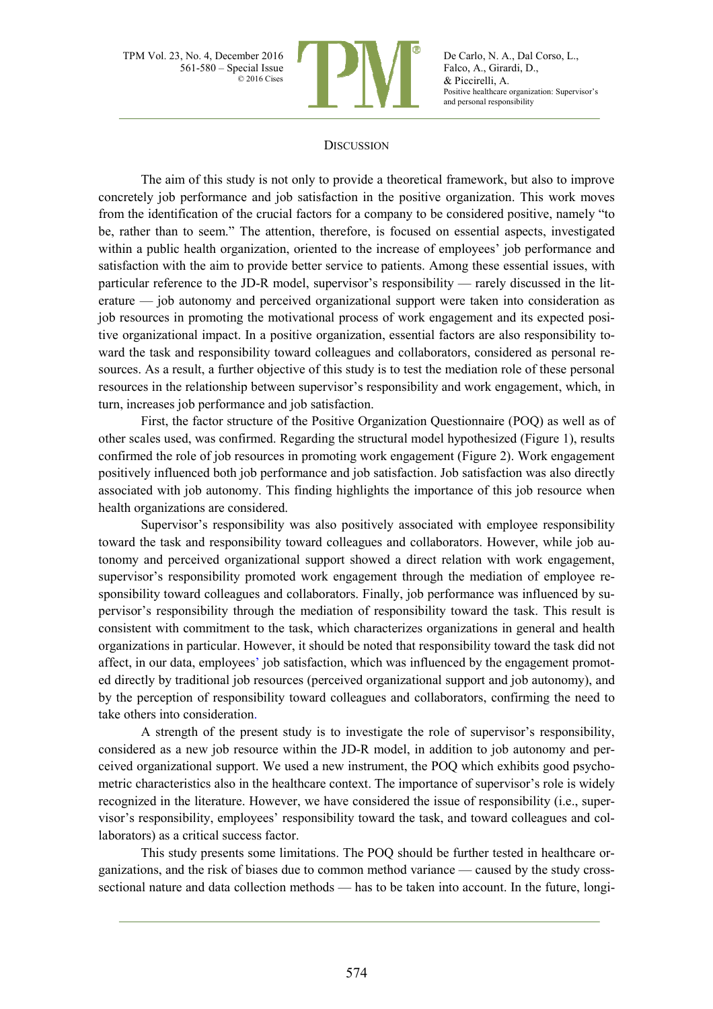

De Carlo, N. A., Dal Corso, L., Falco, A., Girardi, D., & Piccirelli, A. Positive healthcare organization: Supervisor's and personal responsibility

#### **DISCUSSION**

The aim of this study is not only to provide a theoretical framework, but also to improve concretely job performance and job satisfaction in the positive organization. This work moves from the identification of the crucial factors for a company to be considered positive, namely "to be, rather than to seem." The attention, therefore, is focused on essential aspects, investigated within a public health organization, oriented to the increase of employees' job performance and satisfaction with the aim to provide better service to patients. Among these essential issues, with particular reference to the JD-R model, supervisor's responsibility — rarely discussed in the literature — job autonomy and perceived organizational support were taken into consideration as job resources in promoting the motivational process of work engagement and its expected positive organizational impact. In a positive organization, essential factors are also responsibility toward the task and responsibility toward colleagues and collaborators, considered as personal resources. As a result, a further objective of this study is to test the mediation role of these personal resources in the relationship between supervisor's responsibility and work engagement, which, in turn, increases job performance and job satisfaction.

First, the factor structure of the Positive Organization Questionnaire (POQ) as well as of other scales used, was confirmed. Regarding the structural model hypothesized (Figure 1), results confirmed the role of job resources in promoting work engagement (Figure 2). Work engagement positively influenced both job performance and job satisfaction. Job satisfaction was also directly associated with job autonomy. This finding highlights the importance of this job resource when health organizations are considered.

Supervisor's responsibility was also positively associated with employee responsibility toward the task and responsibility toward colleagues and collaborators. However, while job autonomy and perceived organizational support showed a direct relation with work engagement, supervisor's responsibility promoted work engagement through the mediation of employee responsibility toward colleagues and collaborators. Finally, job performance was influenced by supervisor's responsibility through the mediation of responsibility toward the task. This result is consistent with commitment to the task, which characterizes organizations in general and health organizations in particular. However, it should be noted that responsibility toward the task did not affect, in our data, employees' job satisfaction, which was influenced by the engagement promoted directly by traditional job resources (perceived organizational support and job autonomy), and by the perception of responsibility toward colleagues and collaborators, confirming the need to take others into consideration.

A strength of the present study is to investigate the role of supervisor's responsibility, considered as a new job resource within the JD-R model, in addition to job autonomy and perceived organizational support. We used a new instrument, the POQ which exhibits good psychometric characteristics also in the healthcare context. The importance of supervisor's role is widely recognized in the literature. However, we have considered the issue of responsibility (i.e., supervisor's responsibility, employees' responsibility toward the task, and toward colleagues and collaborators) as a critical success factor.

This study presents some limitations. The POQ should be further tested in healthcare organizations, and the risk of biases due to common method variance — caused by the study crosssectional nature and data collection methods — has to be taken into account. In the future, longi-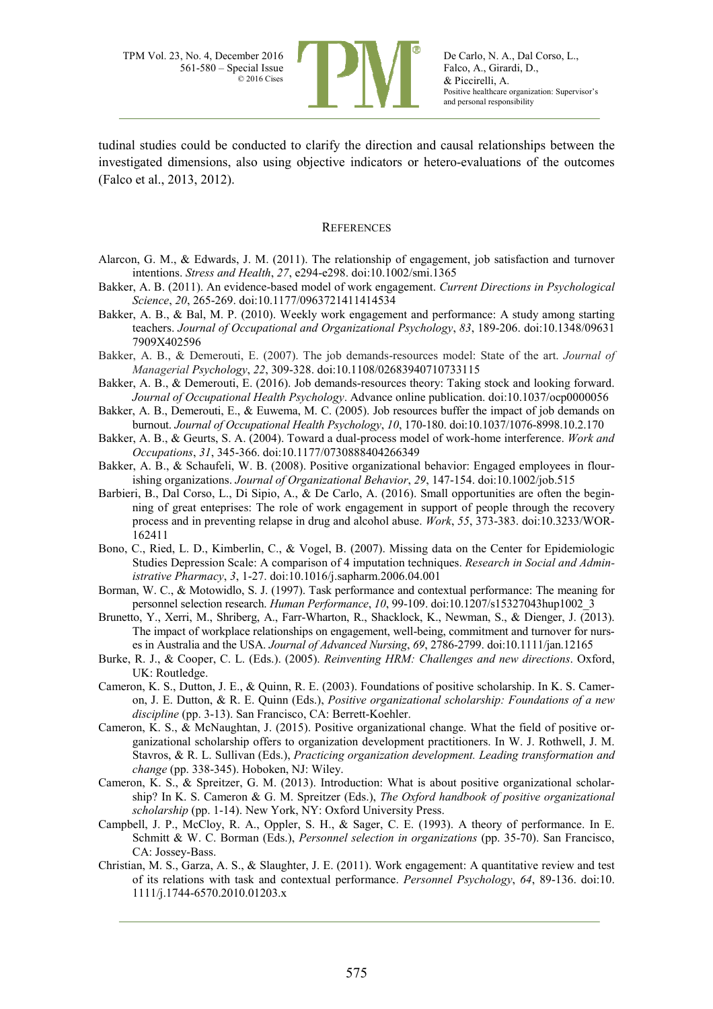

tudinal studies could be conducted to clarify the direction and causal relationships between the investigated dimensions, also using objective indicators or hetero-evaluations of the outcomes (Falco et al., 2013, 2012).

#### **REFERENCES**

- Alarcon, G. M., & Edwards, J. M. (2011). The relationship of engagement, job satisfaction and turnover intentions. *Stress and Health*, *27*, e294-e298. doi:10.1002/smi.1365
- Bakker, A. B. (2011). An evidence-based model of work engagement. *Current Directions in Psychological Science*, *20*, 265-269. doi:10.1177/0963721411414534
- Bakker, A. B., & Bal, M. P. (2010). Weekly work engagement and performance: A study among starting teachers. *Journal of Occupational and Organizational Psychology*, *83*, 189-206. doi:10.1348/09631 7909X402596
- Bakker, A. B., & Demerouti, E. (2007). The job demands-resources model: State of the art. *Journal of Managerial Psychology*, *22*, 309-328. doi:10.1108/02683940710733115
- Bakker, A. B., & Demerouti, E. (2016). Job demands-resources theory: Taking stock and looking forward. *Journal of Occupational Health Psychology*. Advance online publication. doi:10.1037/ocp0000056
- Bakker, A. B., Demerouti, E., & Euwema, M. C. (2005). Job resources buffer the impact of job demands on burnout. *Journal of Occupational Health Psychology*, *10*, 170-180. doi:10.1037/1076-8998.10.2.170
- Bakker, A. B., & Geurts, S. A. (2004). Toward a dual-process model of work-home interference. *Work and Occupations*, *31*, 345-366. doi:10.1177/0730888404266349
- Bakker, A. B., & Schaufeli, W. B. (2008). Positive organizational behavior: Engaged employees in flourishing organizations. *Journal of Organizational Behavior*, *29*, 147-154. doi:10.1002/job.515
- Barbieri, B., Dal Corso, L., Di Sipio, A., & De Carlo, A. (2016). Small opportunities are often the beginning of great enteprises: The role of work engagement in support of people through the recovery process and in preventing relapse in drug and alcohol abuse. *Work*, *55*, 373-383. doi:10.3233/WOR-162411
- Bono, C., Ried, L. D., Kimberlin, C., & Vogel, B. (2007). Missing data on the Center for Epidemiologic Studies Depression Scale: A comparison of 4 imputation techniques. *Research in Social and Administrative Pharmacy*, *3*, 1-27. doi:10.1016/j.sapharm.2006.04.001
- Borman, W. C., & Motowidlo, S. J. (1997). Task performance and contextual performance: The meaning for personnel selection research. *Human Performance*, *10*, 99-109. doi:10.1207/s15327043hup1002\_3
- Brunetto, Y., Xerri, M., Shriberg, A., Farr-Wharton, R., Shacklock, K., Newman, S., & Dienger, J. (2013). The impact of workplace relationships on engagement, well-being, commitment and turnover for nurses in Australia and the USA. *Journal of Advanced Nursing*, *69*, 2786-2799. doi:10.1111/jan.12165
- Burke, R. J., & Cooper, C. L. (Eds.). (2005). *Reinventing HRM: Challenges and new directions*. Oxford, UK: Routledge.
- Cameron, K. S., Dutton, J. E., & Quinn, R. E. (2003). Foundations of positive scholarship. In K. S. Cameron, J. E. Dutton, & R. E. Quinn (Eds.), *Positive organizational scholarship: Foundations of a new discipline* (pp. 3-13). San Francisco, CA: Berrett-Koehler.
- Cameron, K. S., & McNaughtan, J. (2015). Positive organizational change. What the field of positive organizational scholarship offers to organization development practitioners. In W. J. Rothwell, J. M. Stavros, & R. L. Sullivan (Eds.), *Practicing organization development. Leading transformation and change* (pp. 338-345). Hoboken, NJ: Wiley.
- Cameron, K. S., & Spreitzer, G. M. (2013). Introduction: What is about positive organizational scholarship? In K. S. Cameron & G. M. Spreitzer (Eds.), *The Oxford handbook of positive organizational scholarship* (pp. 1-14). New York, NY: Oxford University Press.
- Campbell, J. P., McCloy, R. A., Oppler, S. H., & Sager, C. E. (1993). A theory of performance. In E. Schmitt & W. C. Borman (Eds.), *Personnel selection in organizations* (pp. 35-70). San Francisco, CA: Jossey-Bass.
- Christian, M. S., Garza, A. S., & Slaughter, J. E. (2011). Work engagement: A quantitative review and test of its relations with task and contextual performance. *Personnel Psychology*, *64*, 89-136. doi:10. 1111/j.1744-6570.2010.01203.x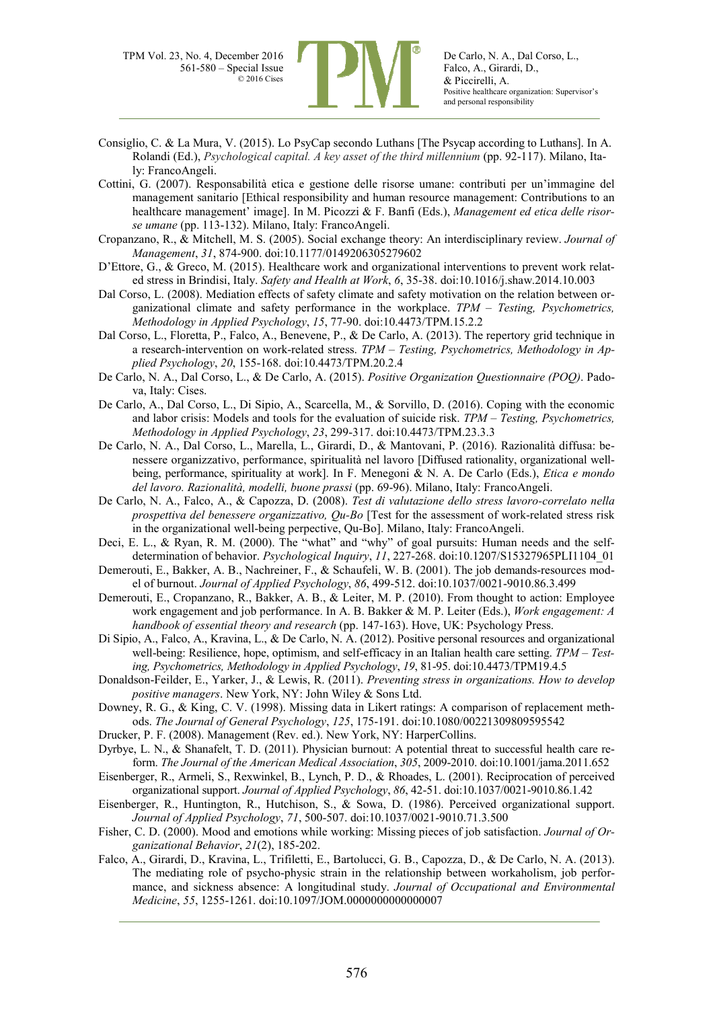

- Consiglio, C. & La Mura, V. (2015). Lo PsyCap secondo Luthans [The Psycap according to Luthans]. In A. Rolandi (Ed.), *Psychological capital. A key asset of the third millennium* (pp. 92-117). Milano, Italy: FrancoAngeli.
- Cottini, G. (2007). Responsabilità etica e gestione delle risorse umane: contributi per un'immagine del management sanitario [Ethical responsibility and human resource management: Contributions to an healthcare management' image]. In M. Picozzi & F. Banfi (Eds.), *Management ed etica delle risorse umane* (pp. 113-132). Milano, Italy: FrancoAngeli.
- Cropanzano, R., & Mitchell, M. S. (2005). Social exchange theory: An interdisciplinary review. *Journal of Management*, *31*, 874-900. doi:10.1177/0149206305279602
- D'Ettore, G., & Greco, M. (2015). Healthcare work and organizational interventions to prevent work related stress in Brindisi, Italy. *Safety and Health at Work*, *6*, 35-38. doi:10.1016/j.shaw.2014.10.003
- Dal Corso, L. (2008). Mediation effects of safety climate and safety motivation on the relation between organizational climate and safety performance in the workplace. *TPM – Testing, Psychometrics, Methodology in Applied Psychology*, *15*, 77-90. doi:10.4473/TPM.15.2.2
- Dal Corso, L., Floretta, P., Falco, A., Benevene, P., & De Carlo, A. (2013). The repertory grid technique in a research-intervention on work-related stress. *TPM – Testing, Psychometrics, Methodology in Applied Psychology*, *20*, 155-168. doi:10.4473/TPM.20.2.4
- De Carlo, N. A., Dal Corso, L., & De Carlo, A. (2015). *Positive Organization Questionnaire (POQ)*. Padova, Italy: Cises.
- De Carlo, A., Dal Corso, L., Di Sipio, A., Scarcella, M., & Sorvillo, D. (2016). Coping with the economic and labor crisis: Models and tools for the evaluation of suicide risk. *TPM – Testing, Psychometrics, Methodology in Applied Psychology*, *23*, 299-317. doi:10.4473/TPM.23.3.3
- De Carlo, N. A., Dal Corso, L., Marella, L., Girardi, D., & Mantovani, P. (2016). Razionalità diffusa: benessere organizzativo, performance, spiritualità nel lavoro [Diffused rationality, organizational wellbeing, performance, spirituality at work]. In F. Menegoni & N. A. De Carlo (Eds.), *Etica e mondo del lavoro. Razionalità, modelli, buone prassi* (pp. 69-96). Milano, Italy: FrancoAngeli.
- De Carlo, N. A., Falco, A., & Capozza, D. (2008). *Test di valutazione dello stress lavoro-correlato nella prospettiva del benessere organizzativo, Qu-Bo* [Test for the assessment of work-related stress risk in the organizational well-being perpective, Qu-Bo]. Milano, Italy: FrancoAngeli.
- Deci, E. L., & Ryan, R. M. (2000). The "what" and "why" of goal pursuits: Human needs and the selfdetermination of behavior. *Psychological Inquiry*, *11*, 227-268. doi:10.1207/S15327965PLI1104\_01
- Demerouti, E., Bakker, A. B., Nachreiner, F., & Schaufeli, W. B. (2001). The job demands-resources model of burnout. *Journal of Applied Psychology*, *86*, 499-512. doi:10.1037/0021-9010.86.3.499
- Demerouti, E., Cropanzano, R., Bakker, A. B., & Leiter, M. P. (2010). From thought to action: Employee work engagement and job performance. In A. B. Bakker & M. P. Leiter (Eds.), *Work engagement: A handbook of essential theory and research* (pp. 147-163). Hove, UK: Psychology Press.
- Di Sipio, A., Falco, A., Kravina, L., & De Carlo, N. A. (2012). Positive personal resources and organizational well-being: Resilience, hope, optimism, and self-efficacy in an Italian health care setting. *TPM – Testing, Psychometrics, Methodology in Applied Psychology*, *19*, 81-95. doi:10.4473/TPM19.4.5
- Donaldson-Feilder, E., Yarker, J., & Lewis, R. (2011). *Preventing stress in organizations. How to develop positive managers*. New York, NY: John Wiley & Sons Ltd.
- Downey, R. G., & King, C. V. (1998). Missing data in Likert ratings: A comparison of replacement methods. *The Journal of General Psychology*, *125*, 175-191. doi:10.1080/00221309809595542
- Drucker, P. F. (2008). Management (Rev. ed.). New York, NY: HarperCollins.
- Dyrbye, L. N., & Shanafelt, T. D. (2011). Physician burnout: A potential threat to successful health care reform. *The Journal of the American Medical Association*, *305*, 2009-2010. doi:10.1001/jama.2011.652
- Eisenberger, R., Armeli, S., Rexwinkel, B., Lynch, P. D., & Rhoades, L. (2001). Reciprocation of perceived organizational support. *Journal of Applied Psychology*, *86*, 42-51. doi:10.1037/0021-9010.86.1.42
- Eisenberger, R., Huntington, R., Hutchison, S., & Sowa, D. (1986). Perceived organizational support. *Journal of Applied Psychology*, *71*, 500-507. doi:10.1037/0021-9010.71.3.500
- Fisher, C. D. (2000). Mood and emotions while working: Missing pieces of job satisfaction. *Journal of Organizational Behavior*, *21*(2), 185-202.
- Falco, A., Girardi, D., Kravina, L., Trifiletti, E., Bartolucci, G. B., Capozza, D., & De Carlo, N. A. (2013). The mediating role of psycho-physic strain in the relationship between workaholism, job performance, and sickness absence: A longitudinal study. *Journal of Occupational and Environmental Medicine*, *55*, 1255-1261. doi:10.1097/JOM.0000000000000007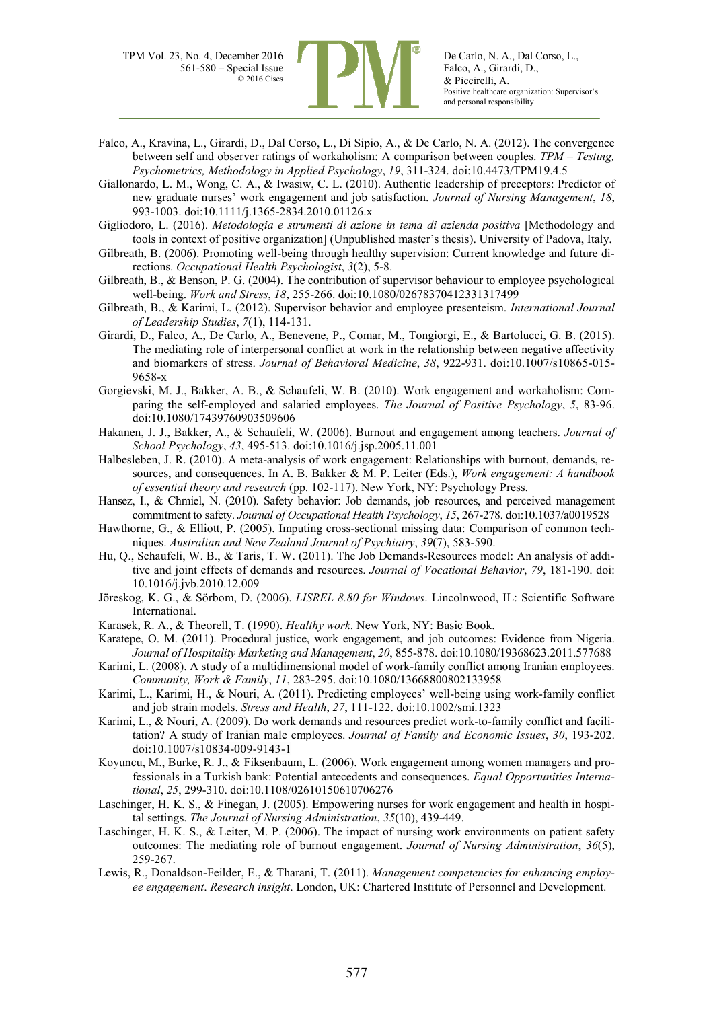

De Carlo, N. A., Dal Corso, L., Falco, A., Girardi, D., & Piccirelli, A. Positive healthcare organization: Supervisor's and personal responsibility

- Falco, A., Kravina, L., Girardi, D., Dal Corso, L., Di Sipio, A., & De Carlo, N. A. (2012). The convergence between self and observer ratings of workaholism: A comparison between couples. *TPM – Testing, Psychometrics, Methodology in Applied Psychology*, *19*, 311-324. doi:10.4473/TPM19.4.5
- Giallonardo, L. M., Wong, C. A., & Iwasiw, C. L. (2010). Authentic leadership of preceptors: Predictor of new graduate nurses' work engagement and job satisfaction. *Journal of Nursing Management*, *18*, 993-1003. doi:10.1111/j.1365-2834.2010.01126.x
- Gigliodoro, L. (2016). *Metodologia e strumenti di azione in tema di azienda positiva* [Methodology and tools in context of positive organization] (Unpublished master's thesis). University of Padova, Italy.
- Gilbreath, B. (2006). Promoting well-being through healthy supervision: Current knowledge and future directions. *Occupational Health Psychologist*, *3*(2), 5-8.
- Gilbreath, B., & Benson, P. G. (2004). The contribution of supervisor behaviour to employee psychological well-being. *Work and Stress*, *18*, 255-266. doi:10.1080/02678370412331317499
- Gilbreath, B., & Karimi, L. (2012). Supervisor behavior and employee presenteism. *International Journal of Leadership Studies*, *7*(1), 114-131.
- Girardi, D., Falco, A., De Carlo, A., Benevene, P., Comar, M., Tongiorgi, E., & Bartolucci, G. B. (2015). The mediating role of interpersonal conflict at work in the relationship between negative affectivity and biomarkers of stress. *Journal of Behavioral Medicine*, *38*, 922-931. doi:10.1007/s10865-015- 9658-x
- Gorgievski, M. J., Bakker, A. B., & Schaufeli, W. B. (2010). Work engagement and workaholism: Comparing the self-employed and salaried employees. *The Journal of Positive Psychology*, *5*, 83-96. doi:10.1080/17439760903509606
- Hakanen, J. J., Bakker, A., & Schaufeli, W. (2006). Burnout and engagement among teachers. *Journal of School Psychology*, *43*, 495-513. doi:10.1016/j.jsp.2005.11.001
- Halbesleben, J. R. (2010). A meta-analysis of work engagement: Relationships with burnout, demands, resources, and consequences. In A. B. Bakker & M. P. Leiter (Eds.), *Work engagement: A handbook of essential theory and research* (pp. 102-117). New York, NY: Psychology Press.
- Hansez, I., & Chmiel, N. (2010). Safety behavior: Job demands, job resources, and perceived management commitment to safety. *Journal of Occupational Health Psychology*, *15*, 267-278. doi:10.1037/a0019528
- Hawthorne, G., & Elliott, P. (2005). Imputing cross-sectional missing data: Comparison of common techniques. *Australian and New Zealand Journal of Psychiatry*, *39*(7), 583-590.
- Hu, Q., Schaufeli, W. B., & Taris, T. W. (2011). The Job Demands-Resources model: An analysis of additive and joint effects of demands and resources. *Journal of Vocational Behavior*, *79*, 181-190. doi: 10.1016/j.jvb.2010.12.009
- Jöreskog, K. G., & Sörbom, D. (2006). *LISREL 8.80 for Windows*. Lincolnwood, IL: Scientific Software International.
- Karasek, R. A., & Theorell, T. (1990). *Healthy work*. New York, NY: Basic Book.
- Karatepe, O. M. (2011). Procedural justice, work engagement, and job outcomes: Evidence from Nigeria. *Journal of Hospitality Marketing and Management*, *20*, 855-878. doi:10.1080/19368623.2011.577688
- Karimi, L. (2008). A study of a multidimensional model of work-family conflict among Iranian employees. *Community, Work & Family*, *11*, 283-295. doi:10.1080/13668800802133958
- Karimi, L., Karimi, H., & Nouri, A. (2011). Predicting employees' well-being using work-family conflict and job strain models. *Stress and Health*, *27*, 111-122. doi:10.1002/smi.1323
- Karimi, L., & Nouri, A. (2009). Do work demands and resources predict work-to-family conflict and facilitation? A study of Iranian male employees. *Journal of Family and Economic Issues*, *30*, 193-202. doi:10.1007/s10834-009-9143-1
- Koyuncu, M., Burke, R. J., & Fiksenbaum, L. (2006). Work engagement among women managers and professionals in a Turkish bank: Potential antecedents and consequences. *Equal Opportunities International*, *25*, 299-310. doi:10.1108/02610150610706276
- Laschinger, H. K. S., & Finegan, J. (2005). Empowering nurses for work engagement and health in hospital settings. *The Journal of Nursing Administration*, *35*(10), 439-449.
- Laschinger, H. K. S., & Leiter, M. P. (2006). The impact of nursing work environments on patient safety outcomes: The mediating role of burnout engagement. *Journal of Nursing Administration*, *36*(5), 259-267.
- Lewis, R., Donaldson-Feilder, E., & Tharani, T. (2011). *Management competencies for enhancing employee engagement*. *Research insight*. London, UK: Chartered Institute of Personnel and Development.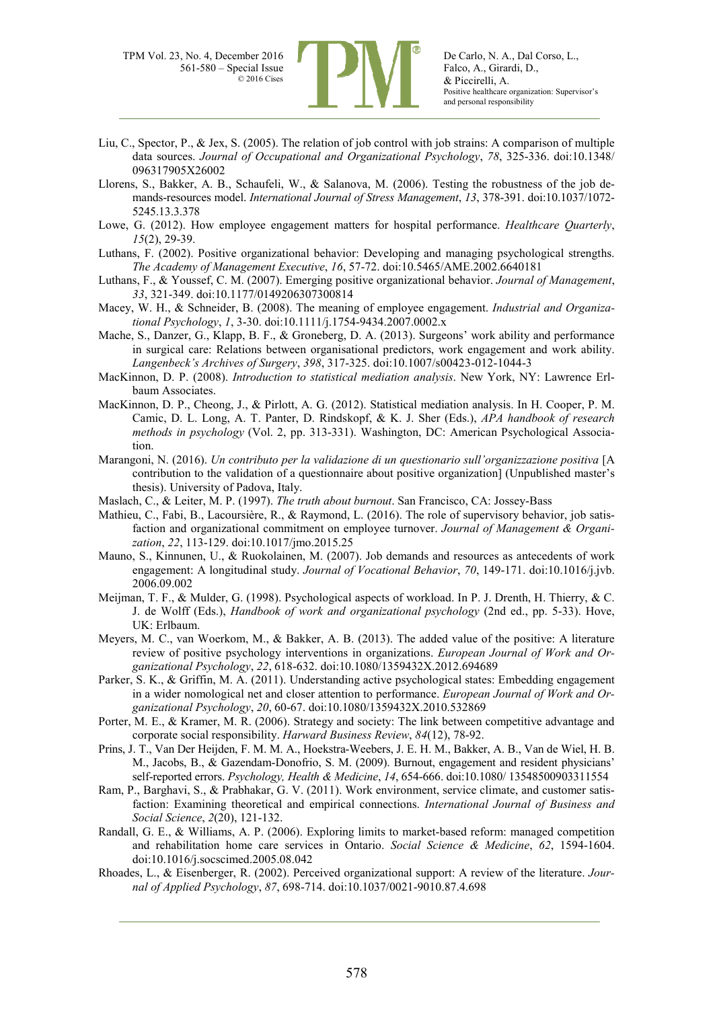

- Liu, C., Spector, P., & Jex, S. (2005). The relation of job control with job strains: A comparison of multiple data sources. *Journal of Occupational and Organizational Psychology*, *78*, 325-336. doi:10.1348/ 096317905X26002
- Llorens, S., Bakker, A. B., Schaufeli, W., & Salanova, M. (2006). Testing the robustness of the job demands-resources model. *International Journal of Stress Management*, *13*, 378-391. doi:10.1037/1072- 5245.13.3.378
- Lowe, G. (2012). How employee engagement matters for hospital performance. *Healthcare Quarterly*, *15*(2), 29-39.
- Luthans, F. (2002). Positive organizational behavior: Developing and managing psychological strengths. *The Academy of Management Executive*, *16*, 57-72. doi:10.5465/AME.2002.6640181
- Luthans, F., & Youssef, C. M. (2007). Emerging positive organizational behavior. *Journal of Management*, *33*, 321-349. doi:10.1177/0149206307300814
- Macey, W. H., & Schneider, B. (2008). The meaning of employee engagement. *Industrial and Organizational Psychology*, *1*, 3-30. doi:10.1111/j.1754-9434.2007.0002.x
- Mache, S., Danzer, G., Klapp, B. F., & Groneberg, D. A. (2013). Surgeons' work ability and performance in surgical care: Relations between organisational predictors, work engagement and work ability. *Langenbeck's Archives of Surgery*, *398*, 317-325. doi:10.1007/s00423-012-1044-3
- MacKinnon, D. P. (2008). *Introduction to statistical mediation analysis*. New York, NY: Lawrence Erlbaum Associates.
- MacKinnon, D. P., Cheong, J., & Pirlott, A. G. (2012). Statistical mediation analysis. In H. Cooper, P. M. Camic, D. L. Long, A. T. Panter, D. Rindskopf, & K. J. Sher (Eds.), *APA handbook of research methods in psychology* (Vol. 2, pp. 313-331). Washington, DC: American Psychological Association.
- Marangoni, N. (2016). *Un contributo per la validazione di un questionario sull'organizzazione positiva* [A contribution to the validation of a questionnaire about positive organization] (Unpublished master's thesis). University of Padova, Italy.
- Maslach, C., & Leiter, M. P. (1997). *The truth about burnout*. San Francisco, CA: Jossey-Bass
- Mathieu, C., Fabi, B., Lacoursière, R., & Raymond, L. (2016). The role of supervisory behavior, job satisfaction and organizational commitment on employee turnover. *Journal of Management & Organization*, *22*, 113-129. doi:10.1017/jmo.2015.25
- Mauno, S., Kinnunen, U., & Ruokolainen, M. (2007). Job demands and resources as antecedents of work engagement: A longitudinal study. *Journal of Vocational Behavior*, *70*, 149-171. doi:10.1016/j.jvb. 2006.09.002
- Meijman, T. F., & Mulder, G. (1998). Psychological aspects of workload. In P. J. Drenth, H. Thierry, & C. J. de Wolff (Eds.), *Handbook of work and organizational psychology* (2nd ed., pp. 5-33). Hove, UK: Erlbaum.
- Meyers, M. C., van Woerkom, M., & Bakker, A. B. (2013). The added value of the positive: A literature review of positive psychology interventions in organizations. *European Journal of Work and Organizational Psychology*, *22*, 618-632. doi:10.1080/1359432X.2012.694689
- Parker, S. K., & Griffin, M. A. (2011). Understanding active psychological states: Embedding engagement in a wider nomological net and closer attention to performance. *European Journal of Work and Organizational Psychology*, *20*, 60-67. doi:10.1080/1359432X.2010.532869
- Porter, M. E., & Kramer, M. R. (2006). Strategy and society: The link between competitive advantage and corporate social responsibility. *Harward Business Review*, *84*(12), 78-92.
- Prins, J. T., Van Der Heijden, F. M. M. A., Hoekstra-Weebers, J. E. H. M., Bakker, A. B., Van de Wiel, H. B. M., Jacobs, B., & Gazendam-Donofrio, S. M. (2009). Burnout, engagement and resident physicians' self-reported errors. *Psychology, Health & Medicine*, *14*, 654-666. doi:10.1080/ 13548500903311554
- Ram, P., Barghavi, S., & Prabhakar, G. V. (2011). Work environment, service climate, and customer satisfaction: Examining theoretical and empirical connections. *International Journal of Business and Social Science*, *2*(20), 121-132.
- Randall, G. E., & Williams, A. P. (2006). Exploring limits to market-based reform: managed competition and rehabilitation home care services in Ontario. *Social Science & Medicine*, *62*, 1594-1604. doi:10.1016/j.socscimed.2005.08.042
- Rhoades, L., & Eisenberger, R. (2002). Perceived organizational support: A review of the literature. *Journal of Applied Psychology*, *87*, 698-714. doi:10.1037/0021-9010.87.4.698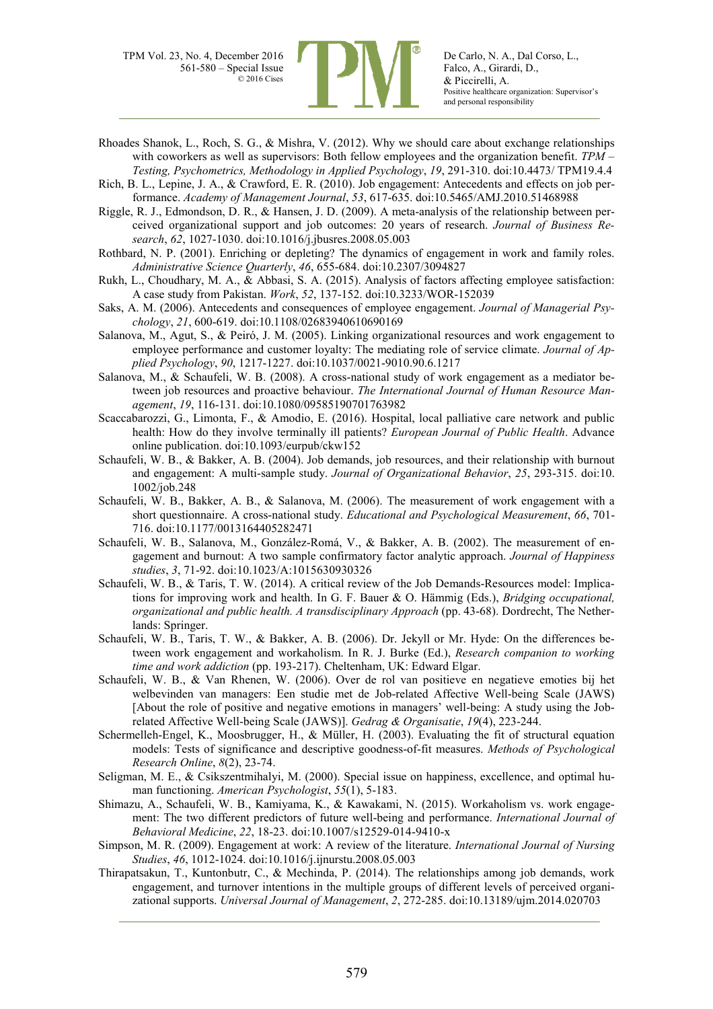

Rhoades Shanok, L., Roch, S. G., & Mishra, V. (2012). Why we should care about exchange relationships with coworkers as well as supervisors: Both fellow employees and the organization benefit. *TPM – Testing, Psychometrics, Methodology in Applied Psychology*, *19*, 291-310. doi:10.4473/ TPM19.4.4

Rich, B. L., Lepine, J. A., & Crawford, E. R. (2010). Job engagement: Antecedents and effects on job performance. *Academy of Management Journal*, *53*, 617-635. doi:10.5465/AMJ.2010.51468988

Riggle, R. J., Edmondson, D. R., & Hansen, J. D. (2009). A meta-analysis of the relationship between perceived organizational support and job outcomes: 20 years of research. *Journal of Business Research*, *62*, 1027-1030. doi:10.1016/j.jbusres.2008.05.003

Rothbard, N. P. (2001). Enriching or depleting? The dynamics of engagement in work and family roles. *Administrative Science Quarterly*, *46*, 655-684. doi:10.2307/3094827

Rukh, L., Choudhary, M. A., & Abbasi, S. A. (2015). Analysis of factors affecting employee satisfaction: A case study from Pakistan. *Work*, *52*, 137-152. doi:10.3233/WOR-152039

Saks, A. M. (2006). Antecedents and consequences of employee engagement. *Journal of Managerial Psychology*, *21*, 600-619. doi:10.1108/02683940610690169

- Salanova, M., Agut, S., & Peiró, J. M. (2005). Linking organizational resources and work engagement to employee performance and customer loyalty: The mediating role of service climate. *Journal of Applied Psychology*, *90*, 1217-1227. doi:10.1037/0021-9010.90.6.1217
- Salanova, M., & Schaufeli, W. B. (2008). A cross-national study of work engagement as a mediator between job resources and proactive behaviour. *The International Journal of Human Resource Management*, *19*, 116-131. doi:10.1080/09585190701763982
- Scaccabarozzi, G., Limonta, F., & Amodio, E. (2016). Hospital, local palliative care network and public health: How do they involve terminally ill patients? *European Journal of Public Health*. Advance online publication. doi:10.1093/eurpub/ckw152
- Schaufeli, W. B., & Bakker, A. B. (2004). Job demands, job resources, and their relationship with burnout and engagement: A multi-sample study. *Journal of Organizational Behavior*, *25*, 293-315. doi:10. 1002/job.248
- Schaufeli, W. B., Bakker, A. B., & Salanova, M. (2006). The measurement of work engagement with a short questionnaire. A cross-national study. *Educational and Psychological Measurement*, *66*, 701- 716. doi:10.1177/0013164405282471
- Schaufeli, W. B., Salanova, M., González-Romá, V., & Bakker, A. B. (2002). The measurement of engagement and burnout: A two sample confirmatory factor analytic approach. *Journal of Happiness studies*, *3*, 71-92. doi:10.1023/A:1015630930326
- Schaufeli, W. B., & Taris, T. W. (2014). A critical review of the Job Demands-Resources model: Implications for improving work and health. In G. F. Bauer & O. Hämmig (Eds.), *Bridging occupational, organizational and public health. A transdisciplinary Approach* (pp. 43-68). Dordrecht, The Netherlands: Springer.
- Schaufeli, W. B., Taris, T. W., & Bakker, A. B. (2006). Dr. Jekyll or Mr. Hyde: On the differences between work engagement and workaholism. In R. J. Burke (Ed.), *Research companion to working time and work addiction* (pp. 193-217). Cheltenham, UK: Edward Elgar.
- Schaufeli, W. B., & Van Rhenen, W. (2006). Over de rol van positieve en negatieve emoties bij het welbevinden van managers: Een studie met de Job-related Affective Well-being Scale (JAWS) [About the role of positive and negative emotions in managers' well-being: A study using the Jobrelated Affective Well-being Scale (JAWS)]. *Gedrag & Organisatie*, *19*(4), 223-244.
- Schermelleh-Engel, K., Moosbrugger, H., & Müller, H. (2003). Evaluating the fit of structural equation models: Tests of significance and descriptive goodness-of-fit measures. *Methods of Psychological Research Online*, *8*(2), 23-74.
- Seligman, M. E., & Csikszentmihalyi, M. (2000). Special issue on happiness, excellence, and optimal human functioning. *American Psychologist*, *55*(1), 5-183.
- Shimazu, A., Schaufeli, W. B., Kamiyama, K., & Kawakami, N. (2015). Workaholism vs. work engagement: The two different predictors of future well-being and performance. *International Journal of Behavioral Medicine*, *22*, 18-23. doi:10.1007/s12529-014-9410-x
- Simpson, M. R. (2009). Engagement at work: A review of the literature. *International Journal of Nursing Studies*, *46*, 1012-1024. doi:10.1016/j.ijnurstu.2008.05.003
- Thirapatsakun, T., Kuntonbutr, C., & Mechinda, P. (2014). The relationships among job demands, work engagement, and turnover intentions in the multiple groups of different levels of perceived organizational supports. *Universal Journal of Management*, *2*, 272-285. doi:10.13189/ujm.2014.020703